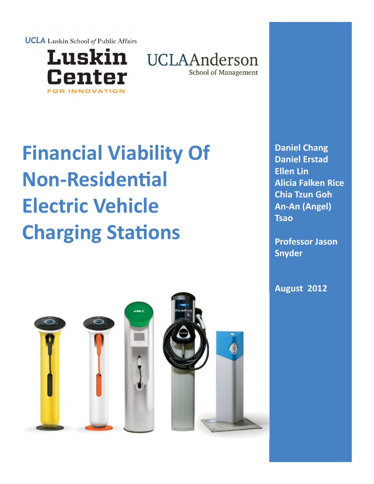**UCLA** Luskin School of Public Affairs



UCLAAnderson **School of Management** 

# **Financial Viability Of Non-Residential Electric Vehicle Charging Stations**

**Daniel Chang Daniel Erstad Ellen Lin Alicia Falken Rice Chia Tzun Goh An-An (Angel) Tsao**

**Professor Jason Snyder**

**August 2012**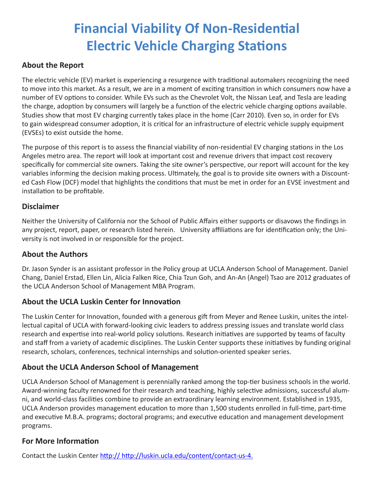# **Financial Viability Of Non-Residential Electric Vehicle Charging Stations**

### **About the Report**

The electric vehicle (EV) market is experiencing a resurgence with traditional automakers recognizing the need to move into this market. As a result, we are in a moment of exciting transition in which consumers now have a number of EV options to consider. While EVs such as the Chevrolet Volt, the Nissan Leaf, and Tesla are leading the charge, adoption by consumers will largely be a function of the electric vehicle charging options available. Studies show that most EV charging currently takes place in the home (Carr 2010). Even so, in order for EVs to gain widespread consumer adoption, it is critical for an infrastructure of electric vehicle supply equipment (EVSEs) to exist outside the home.

The purpose of this report is to assess the financial viability of non-residential EV charging stations in the Los Angeles metro area. The report will look at important cost and revenue drivers that impact cost recovery specifically for commercial site owners. Taking the site owner's perspective, our report will account for the key variables informing the decision making process. Ultimately, the goal is to provide site owners with a Discounted Cash Flow (DCF) model that highlights the conditions that must be met in order for an EVSE investment and installation to be profitable.

### **Disclaimer**

Neither the University of California nor the School of Public Affairs either supports or disavows the findings in any project, report, paper, or research listed herein. University affiliations are for identification only; the University is not involved in or responsible for the project.

### **About the Authors**

Dr. Jason Synder is an assistant professor in the Policy group at UCLA Anderson School of Management. Daniel Chang, Daniel Erstad, Ellen Lin, Alicia Falken Rice, Chia Tzun Goh, and An-An (Angel) Tsao are 2012 graduates of the UCLA Anderson School of Management MBA Program.

### **About the UCLA Luskin Center for Innovation**

The Luskin Center for Innovation, founded with a generous gift from Meyer and Renee Luskin, unites the intellectual capital of UCLA with forward-looking civic leaders to address pressing issues and translate world class research and expertise into real-world policy solutions. Research initiatives are supported by teams of faculty and staff from a variety of academic disciplines. The Luskin Center supports these initiatives by funding original research, scholars, conferences, technical internships and solution-oriented speaker series.

### **About the UCLA Anderson School of Management**

UCLA Anderson School of Management is perennially ranked among the top-tier business schools in the world. Award-winning faculty renowned for their research and teaching, highly selective admissions, successful alumni, and world-class facilities combine to provide an extraordinary learning environment. Established in 1935, UCLA Anderson provides management education to more than 1,500 students enrolled in full-time, part-time and executive M.B.A. programs; doctoral programs; and executive education and management development programs.

### **For More Information**

Contact the Luskin Center [http://](http://luskin.ucla.edu) http://luskin.ucla.edu/content/contact-us-4.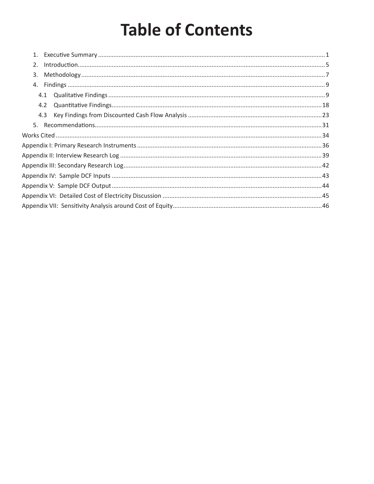# **Table of Contents**

| 1.  |  |
|-----|--|
| 2.  |  |
| 3.  |  |
| 4.  |  |
| 4.1 |  |
| 4.2 |  |
| 4.3 |  |
| 5.  |  |
|     |  |
|     |  |
|     |  |
|     |  |
|     |  |
|     |  |
|     |  |
|     |  |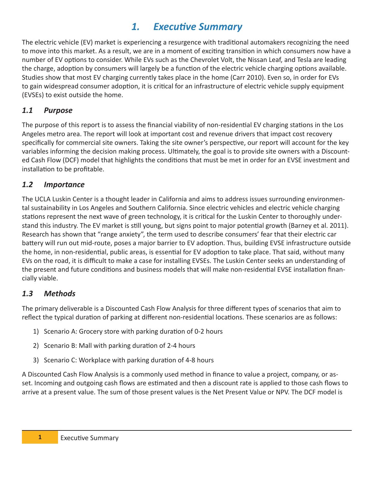# *1. Executive Summary*

The electric vehicle (EV) market is experiencing a resurgence with traditional automakers recognizing the need to move into this market. As a result, we are in a moment of exciting transition in which consumers now have a number of EV options to consider. While EVs such as the Chevrolet Volt, the Nissan Leaf, and Tesla are leading the charge, adoption by consumers will largely be a function of the electric vehicle charging options available. Studies show that most EV charging currently takes place in the home (Carr 2010). Even so, in order for EVs to gain widespread consumer adoption, it is critical for an infrastructure of electric vehicle supply equipment (EVSEs) to exist outside the home.

### *1.1 Purpose*

The purpose of this report is to assess the financial viability of non-residential EV charging stations in the Los Angeles metro area. The report will look at important cost and revenue drivers that impact cost recovery specifically for commercial site owners. Taking the site owner's perspective, our report will account for the key variables informing the decision making process. Ultimately, the goal is to provide site owners with a Discounted Cash Flow (DCF) model that highlights the conditions that must be met in order for an EVSE investment and installation to be profitable.

### *1.2 Importance*

The UCLA Luskin Center is a thought leader in California and aims to address issues surrounding environmental sustainability in Los Angeles and Southern California. Since electric vehicles and electric vehicle charging stations represent the next wave of green technology, it is critical for the Luskin Center to thoroughly understand this industry. The EV market is still young, but signs point to major potential growth (Barney et al. 2011). Research has shown that "range anxiety", the term used to describe consumers' fear that their electric car battery will run out mid-route, poses a major barrier to EV adoption. Thus, building EVSE infrastructure outside the home, in non-residential, public areas, is essential for EV adoption to take place. That said, without many EVs on the road, it is difficult to make a case for installing EVSEs. The Luskin Center seeks an understanding of the present and future conditions and business models that will make non-residential EVSE installation financially viable.

### *1.3 Methods*

The primary deliverable is a Discounted Cash Flow Analysis for three different types of scenarios that aim to reflect the typical duration of parking at different non-residential locations. These scenarios are as follows:

- 1) Scenario A: Grocery store with parking duration of 0-2 hours
- 2) Scenario B: Mall with parking duration of 2-4 hours
- 3) Scenario C: Workplace with parking duration of 4-8 hours

A Discounted Cash Flow Analysis is a commonly used method in finance to value a project, company, or asset. Incoming and outgoing cash flows are estimated and then a discount rate is applied to those cash flows to arrive at a present value. The sum of those present values is the Net Present Value or NPV. The DCF model is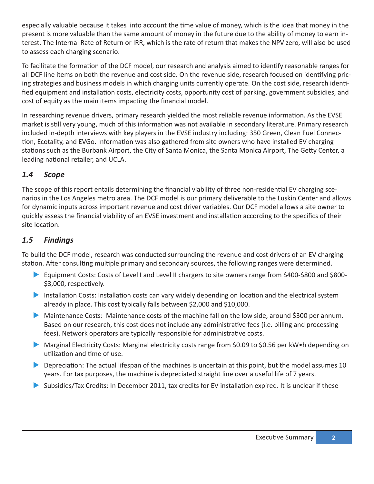especially valuable because it takes into account the time value of money, which is the idea that money in the present is more valuable than the same amount of money in the future due to the ability of money to earn interest. The Internal Rate of Return or IRR, which is the rate of return that makes the NPV zero, will also be used to assess each charging scenario.

To facilitate the formation of the DCF model, our research and analysis aimed to identify reasonable ranges for all DCF line items on both the revenue and cost side. On the revenue side, research focused on identifying pricing strategies and business models in which charging units currently operate. On the cost side, research identified equipment and installation costs, electricity costs, opportunity cost of parking, government subsidies, and cost of equity as the main items impacting the financial model.

In researching revenue drivers, primary research yielded the most reliable revenue information. As the EVSE market is still very young, much of this information was not available in secondary literature. Primary research included in-depth interviews with key players in the EVSE industry including: 350 Green, Clean Fuel Connection, Ecotality, and EVGo. Information was also gathered from site owners who have installed EV charging stations such as the Burbank Airport, the City of Santa Monica, the Santa Monica Airport, The Getty Center, a leading national retailer, and UCLA.

### *1.4 Scope*

The scope of this report entails determining the financial viability of three non-residential EV charging scenarios in the Los Angeles metro area. The DCF model is our primary deliverable to the Luskin Center and allows for dynamic inputs across important revenue and cost driver variables. Our DCF model allows a site owner to quickly assess the financial viability of an EVSE investment and installation according to the specifics of their site location.

### *1.5 Findings*

To build the DCF model, research was conducted surrounding the revenue and cost drivers of an EV charging station. After consulting multiple primary and secondary sources, the following ranges were determined.

- Equipment Costs: Costs of Level I and Level II chargers to site owners range from \$400-\$800 and \$800-\$3,000, respectively.
- Installation Costs: Installation costs can vary widely depending on location and the electrical system already in place. This cost typically falls between \$2,000 and \$10,000.
- Maintenance Costs: Maintenance costs of the machine fall on the low side, around \$300 per annum. Based on our research, this cost does not include any administrative fees (i.e. billing and processing fees). Network operators are typically responsible for administrative costs.
- ▶ Marginal Electricity Costs: Marginal electricity costs range from \$0.09 to \$0.56 per kW•h depending on utilization and time of use.
- $\triangleright$  Depreciation: The actual lifespan of the machines is uncertain at this point, but the model assumes 10 years. For tax purposes, the machine is depreciated straight line over a useful life of 7 years.
- In Subsidies/Tax Credits: In December 2011, tax credits for EV installation expired. It is unclear if these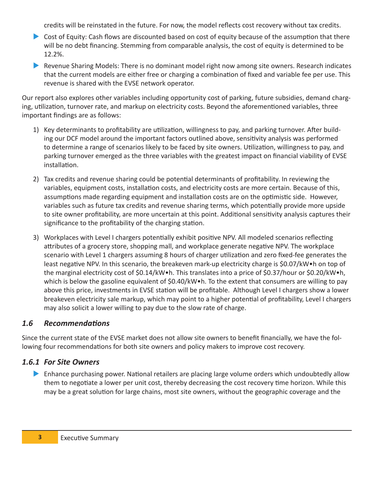credits will be reinstated in the future. For now, the model reflects cost recovery without tax credits.

- Cost of Equity: Cash flows are discounted based on cost of equity because of the assumption that there will be no debt financing. Stemming from comparable analysis, the cost of equity is determined to be 12.2%.
- **X** Revenue Sharing Models: There is no dominant model right now among site owners. Research indicates that the current models are either free or charging a combination of fixed and variable fee per use. This revenue is shared with the EVSE network operator.

Our report also explores other variables including opportunity cost of parking, future subsidies, demand charging, utilization, turnover rate, and markup on electricity costs. Beyond the aforementioned variables, three important findings are as follows:

- 1) Key determinants to profitability are utilization, willingness to pay, and parking turnover. After building our DCF model around the important factors outlined above, sensitivity analysis was performed to determine a range of scenarios likely to be faced by site owners. Utilization, willingness to pay, and parking turnover emerged as the three variables with the greatest impact on financial viability of EVSE installation.
- 2) Tax credits and revenue sharing could be potential determinants of profitability. In reviewing the variables, equipment costs, installation costs, and electricity costs are more certain. Because of this, assumptions made regarding equipment and installation costs are on the optimistic side. However, variables such as future tax credits and revenue sharing terms, which potentially provide more upside to site owner profitability, are more uncertain at this point. Additional sensitivity analysis captures their significance to the profitability of the charging station.
- 3) Workplaces with Level I chargers potentially exhibit positive NPV. All modeled scenarios reflecting attributes of a grocery store, shopping mall, and workplace generate negative NPV. The workplace scenario with Level 1 chargers assuming 8 hours of charger utilization and zero fixed-fee generates the least negative NPV. In this scenario, the breakeven mark-up electricity charge is \$0.07/kW•h on top of the marginal electricity cost of \$0.14/kW•h. This translates into a price of \$0.37/hour or \$0.20/kW•h, which is below the gasoline equivalent of \$0.40/kW•h. To the extent that consumers are willing to pay above this price, investments in EVSE station will be profitable. Although Level I chargers show a lower breakeven electricity sale markup, which may point to a higher potential of profitability, Level I chargers may also solicit a lower willing to pay due to the slow rate of charge.

### *1.6 Recommendations*

Since the current state of the EVSE market does not allow site owners to benefit financially, we have the following four recommendations for both site owners and policy makers to improve cost recovery.

### *1.6.1 For Site Owners*

**E** Enhance purchasing power. National retailers are placing large volume orders which undoubtedly allow them to negotiate a lower per unit cost, thereby decreasing the cost recovery time horizon. While this may be a great solution for large chains, most site owners, without the geographic coverage and the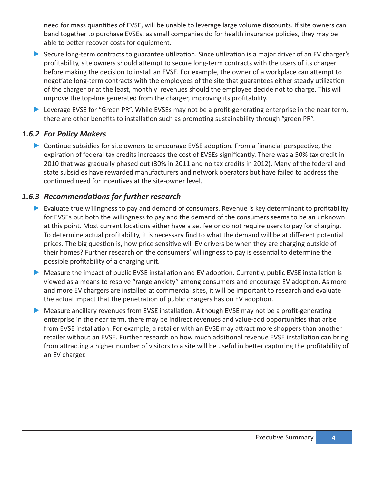need for mass quantities of EVSE, will be unable to leverage large volume discounts. If site owners can band together to purchase EVSEs, as small companies do for health insurance policies, they may be able to better recover costs for equipment.

- Secure long-term contracts to guarantee utilization. Since utilization is a major driver of an EV charger's profitability, site owners should attempt to secure long-term contracts with the users of its charger before making the decision to install an EVSE. For example, the owner of a workplace can attempt to negotiate long-term contracts with the employees of the site that guarantees either steady utilization of the charger or at the least, monthly revenues should the employee decide not to charge. This will improve the top-line generated from the charger, improving its profitability.
- $\blacktriangleright$  Leverage EVSE for "Green PR". While EVSEs may not be a profit-generating enterprise in the near term, there are other benefits to installation such as promoting sustainability through "green PR".

### *1.6.2 For Policy Makers*

ightharpoonup Schoolinus subsidies for site owners to encourage EVSE adoption. From a financial perspective, the expiration of federal tax credits increases the cost of EVSEs significantly. There was a 50% tax credit in 2010 that was gradually phased out (30% in 2011 and no tax credits in 2012). Many of the federal and state subsidies have rewarded manufacturers and network operators but have failed to address the continued need for incentives at the site-owner level.

### *1.6.3 Recommendations for further research*

- $\blacktriangleright$  Evaluate true willingness to pay and demand of consumers. Revenue is key determinant to profitability for EVSEs but both the willingness to pay and the demand of the consumers seems to be an unknown at this point. Most current locations either have a set fee or do not require users to pay for charging. To determine actual profitability, it is necessary find to what the demand will be at different potential prices. The big question is, how price sensitive will EV drivers be when they are charging outside of their homes? Further research on the consumers' willingness to pay is essential to determine the possible profitability of a charging unit.
- $\blacktriangleright$  Measure the impact of public EVSE installation and EV adoption. Currently, public EVSE installation is viewed as a means to resolve "range anxiety" among consumers and encourage EV adoption. As more and more EV chargers are installed at commercial sites, it will be important to research and evaluate the actual impact that the penetration of public chargers has on EV adoption.
- X Measure ancillary revenues from EVSE installation. Although EVSE may not be a profit-generating enterprise in the near term, there may be indirect revenues and value-add opportunities that arise from EVSE installation. For example, a retailer with an EVSE may attract more shoppers than another retailer without an EVSE. Further research on how much additional revenue EVSE installation can bring from attracting a higher number of visitors to a site will be useful in better capturing the profitability of an EV charger.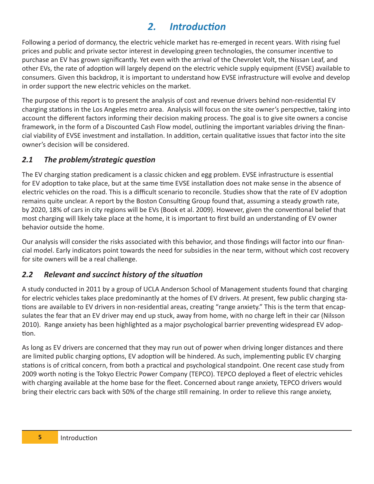# *2. Introduction*

Following a period of dormancy, the electric vehicle market has re-emerged in recent years. With rising fuel prices and public and private sector interest in developing green technologies, the consumer incentive to purchase an EV has grown significantly. Yet even with the arrival of the Chevrolet Volt, the Nissan Leaf, and other EVs, the rate of adoption will largely depend on the electric vehicle supply equipment (EVSE) available to consumers. Given this backdrop, it is important to understand how EVSE infrastructure will evolve and develop in order support the new electric vehicles on the market.

The purpose of this report is to present the analysis of cost and revenue drivers behind non-residential EV charging stations in the Los Angeles metro area. Analysis will focus on the site owner's perspective, taking into account the different factors informing their decision making process. The goal is to give site owners a concise framework, in the form of a Discounted Cash Flow model, outlining the important variables driving the financial viability of EVSE investment and installation. In addition, certain qualitative issues that factor into the site owner's decision will be considered.

### *2.1 The problem/strategic question*

The EV charging station predicament is a classic chicken and egg problem. EVSE infrastructure is essential for EV adoption to take place, but at the same time EVSE installation does not make sense in the absence of electric vehicles on the road. This is a difficult scenario to reconcile. Studies show that the rate of EV adoption remains quite unclear. A report by the Boston Consulting Group found that, assuming a steady growth rate, by 2020, 18% of cars in city regions will be EVs (Book et al. 2009). However, given the conventional belief that most charging will likely take place at the home, it is important to first build an understanding of EV owner behavior outside the home.

Our analysis will consider the risks associated with this behavior, and those findings will factor into our financial model. Early indicators point towards the need for subsidies in the near term, without which cost recovery for site owners will be a real challenge.

### *2.2 Relevant and succinct history of the situation*

A study conducted in 2011 by a group of UCLA Anderson School of Management students found that charging for electric vehicles takes place predominantly at the homes of EV drivers. At present, few public charging stations are available to EV drivers in non-residential areas, creating "range anxiety." This is the term that encapsulates the fear that an EV driver may end up stuck, away from home, with no charge left in their car (Nilsson 2010). Range anxiety has been highlighted as a major psychological barrier preventing widespread EV adoption.

As long as EV drivers are concerned that they may run out of power when driving longer distances and there are limited public charging options, EV adoption will be hindered. As such, implementing public EV charging stations is of critical concern, from both a practical and psychological standpoint. One recent case study from 2009 worth noting is the Tokyo Electric Power Company (TEPCO). TEPCO deployed a fleet of electric vehicles with charging available at the home base for the fleet. Concerned about range anxiety, TEPCO drivers would bring their electric cars back with 50% of the charge still remaining. In order to relieve this range anxiety,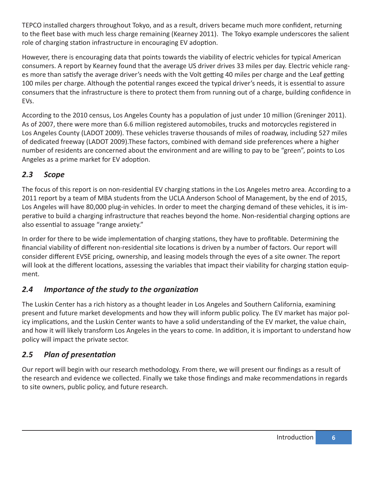TEPCO installed chargers throughout Tokyo, and as a result, drivers became much more confident, returning to the fleet base with much less charge remaining (Kearney 2011). The Tokyo example underscores the salient role of charging station infrastructure in encouraging EV adoption.

However, there is encouraging data that points towards the viability of electric vehicles for typical American consumers. A report by Kearney found that the average US driver drives 33 miles per day. Electric vehicle ranges more than satisfy the average driver's needs with the Volt getting 40 miles per charge and the Leaf getting 100 miles per charge. Although the potential ranges exceed the typical driver's needs, it is essential to assure consumers that the infrastructure is there to protect them from running out of a charge, building confidence in EVs.

According to the 2010 census, Los Angeles County has a population of just under 10 million (Greninger 2011). As of 2007, there were more than 6.6 million registered automobiles, trucks and motorcycles registered in Los Angeles County (LADOT 2009). These vehicles traverse thousands of miles of roadway, including 527 miles of dedicated freeway (LADOT 2009).These factors, combined with demand side preferences where a higher number of residents are concerned about the environment and are willing to pay to be "green", points to Los Angeles as a prime market for EV adoption.

### *2.3 Scope*

The focus of this report is on non-residential EV charging stations in the Los Angeles metro area. According to a 2011 report by a team of MBA students from the UCLA Anderson School of Management, by the end of 2015, Los Angeles will have 80,000 plug-in vehicles. In order to meet the charging demand of these vehicles, it is imperative to build a charging infrastructure that reaches beyond the home. Non-residential charging options are also essential to assuage "range anxiety."

In order for there to be wide implementation of charging stations, they have to profitable. Determining the financial viability of different non-residential site locations is driven by a number of factors. Our report will consider different EVSE pricing, ownership, and leasing models through the eyes of a site owner. The report will look at the different locations, assessing the variables that impact their viability for charging station equipment.

### *2.4 Importance of the study to the organization*

The Luskin Center has a rich history as a thought leader in Los Angeles and Southern California, examining present and future market developments and how they will inform public policy. The EV market has major policy implications, and the Luskin Center wants to have a solid understanding of the EV market, the value chain, and how it will likely transform Los Angeles in the years to come. In addition, it is important to understand how policy will impact the private sector.

### *2.5 Plan of presentation*

Our report will begin with our research methodology. From there, we will present our findings as a result of the research and evidence we collected. Finally we take those findings and make recommendations in regards to site owners, public policy, and future research.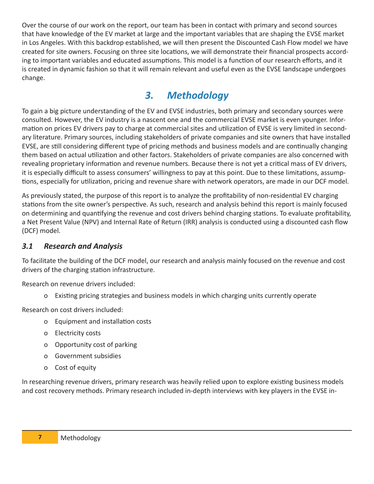Over the course of our work on the report, our team has been in contact with primary and second sources that have knowledge of the EV market at large and the important variables that are shaping the EVSE market in Los Angeles. With this backdrop established, we will then present the Discounted Cash Flow model we have created for site owners. Focusing on three site locations, we will demonstrate their financial prospects according to important variables and educated assumptions. This model is a function of our research efforts, and it is created in dynamic fashion so that it will remain relevant and useful even as the EVSE landscape undergoes change.

# *3. Methodology*

To gain a big picture understanding of the EV and EVSE industries, both primary and secondary sources were consulted. However, the EV industry is a nascent one and the commercial EVSE market is even younger. Information on prices EV drivers pay to charge at commercial sites and utilization of EVSE is very limited in secondary literature. Primary sources, including stakeholders of private companies and site owners that have installed EVSE, are still considering different type of pricing methods and business models and are continually changing them based on actual utilization and other factors. Stakeholders of private companies are also concerned with revealing proprietary information and revenue numbers. Because there is not yet a critical mass of EV drivers, it is especially difficult to assess consumers' willingness to pay at this point. Due to these limitations, assumptions, especially for utilization, pricing and revenue share with network operators, are made in our DCF model.

As previously stated, the purpose of this report is to analyze the profitability of non-residential EV charging stations from the site owner's perspective. As such, research and analysis behind this report is mainly focused on determining and quantifying the revenue and cost drivers behind charging stations. To evaluate profitability, a Net Present Value (NPV) and Internal Rate of Return (IRR) analysis is conducted using a discounted cash flow (DCF) model.

### *3.1 Research and Analysis*

To facilitate the building of the DCF model, our research and analysis mainly focused on the revenue and cost drivers of the charging station infrastructure.

Research on revenue drivers included:

o Existing pricing strategies and business models in which charging units currently operate

Research on cost drivers included:

- o Equipment and installation costs
- o Electricity costs
- o Opportunity cost of parking
- o Government subsidies
- o Cost of equity

In researching revenue drivers, primary research was heavily relied upon to explore existing business models and cost recovery methods. Primary research included in-depth interviews with key players in the EVSE in-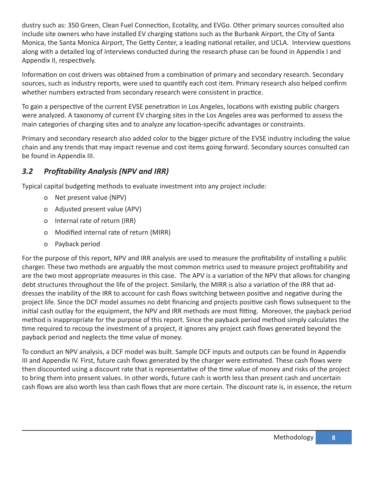dustry such as: 350 Green, Clean Fuel Connection, Ecotality, and EVGo. Other primary sources consulted also include site owners who have installed EV charging stations such as the Burbank Airport, the City of Santa Monica, the Santa Monica Airport, The Getty Center, a leading national retailer, and UCLA. Interview questions along with a detailed log of interviews conducted during the research phase can be found in Appendix I and Appendix II, respectively.

Information on cost drivers was obtained from a combination of primary and secondary research. Secondary sources, such as industry reports, were used to quantify each cost item. Primary research also helped confirm whether numbers extracted from secondary research were consistent in practice.

To gain a perspective of the current EVSE penetration in Los Angeles, locations with existing public chargers were analyzed. A taxonomy of current EV charging sites in the Los Angeles area was performed to assess the main categories of charging sites and to analyze any location-specific advantages or constraints.

Primary and secondary research also added color to the bigger picture of the EVSE industry including the value chain and any trends that may impact revenue and cost items going forward. Secondary sources consulted can be found in Appendix III.

### *3.2 Profitability Analysis (NPV and IRR)*

Typical capital budgeting methods to evaluate investment into any project include:

- o Net present value (NPV)
- o Adjusted present value (APV)
- o Internal rate of return (IRR)
- o Modified internal rate of return (MIRR)
- o Payback period

For the purpose of this report, NPV and IRR analysis are used to measure the profitability of installing a public charger. These two methods are arguably the most common metrics used to measure project profitability and are the two most appropriate measures in this case. The APV is a variation of the NPV that allows for changing debt structures throughout the life of the project. Similarly, the MIRR is also a variation of the IRR that addresses the inability of the IRR to account for cash flows switching between positive and negative during the project life. Since the DCF model assumes no debt financing and projects positive cash flows subsequent to the initial cash outlay for the equipment, the NPV and IRR methods are most fitting. Moreover, the payback period method is inappropriate for the purpose of this report. Since the payback period method simply calculates the time required to recoup the investment of a project, it ignores any project cash flows generated beyond the payback period and neglects the time value of money.

To conduct an NPV analysis, a DCF model was built. Sample DCF inputs and outputs can be found in Appendix III and Appendix IV. First, future cash flows generated by the charger were estimated. These cash flows were then discounted using a discount rate that is representative of the time value of money and risks of the project to bring them into present values. In other words, future cash is worth less than present cash and uncertain cash flows are also worth less than cash flows that are more certain. The discount rate is, in essence, the return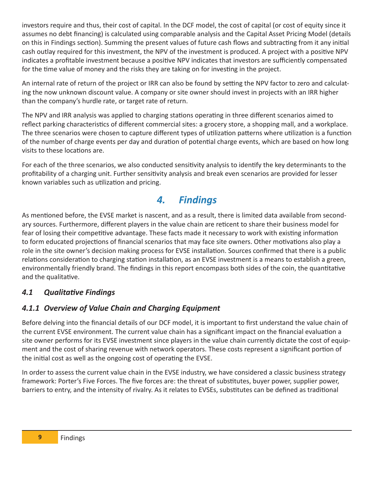investors require and thus, their cost of capital. In the DCF model, the cost of capital (or cost of equity since it assumes no debt financing) is calculated using comparable analysis and the Capital Asset Pricing Model (details on this in Findings section). Summing the present values of future cash flows and subtracting from it any initial cash outlay required for this investment, the NPV of the investment is produced. A project with a positive NPV indicates a profitable investment because a positive NPV indicates that investors are sufficiently compensated for the time value of money and the risks they are taking on for investing in the project.

An internal rate of return of the project or IRR can also be found by setting the NPV factor to zero and calculating the now unknown discount value. A company or site owner should invest in projects with an IRR higher than the company's hurdle rate, or target rate of return.

The NPV and IRR analysis was applied to charging stations operating in three different scenarios aimed to reflect parking characteristics of different commercial sites: a grocery store, a shopping mall, and a workplace. The three scenarios were chosen to capture different types of utilization patterns where utilization is a function of the number of charge events per day and duration of potential charge events, which are based on how long visits to these locations are.

For each of the three scenarios, we also conducted sensitivity analysis to identify the key determinants to the profitability of a charging unit. Further sensitivity analysis and break even scenarios are provided for lesser known variables such as utilization and pricing.

# *4. Findings*

As mentioned before, the EVSE market is nascent, and as a result, there is limited data available from secondary sources. Furthermore, different players in the value chain are reticent to share their business model for fear of losing their competitive advantage. These facts made it necessary to work with existing information to form educated projections of financial scenarios that may face site owners. Other motivations also play a role in the site owner's decision making process for EVSE installation. Sources confirmed that there is a public relations consideration to charging station installation, as an EVSE investment is a means to establish a green, environmentally friendly brand. The findings in this report encompass both sides of the coin, the quantitative and the qualitative.

### *4.1 Qualitative Findings*

### *4.1.1 Overview of Value Chain and Charging Equipment*

Before delving into the financial details of our DCF model, it is important to first understand the value chain of the current EVSE environment. The current value chain has a significant impact on the financial evaluation a site owner performs for its EVSE investment since players in the value chain currently dictate the cost of equipment and the cost of sharing revenue with network operators. These costs represent a significant portion of the initial cost as well as the ongoing cost of operating the EVSE.

In order to assess the current value chain in the EVSE industry, we have considered a classic business strategy framework: Porter's Five Forces. The five forces are: the threat of substitutes, buyer power, supplier power, barriers to entry, and the intensity of rivalry. As it relates to EVSEs, substitutes can be defined as traditional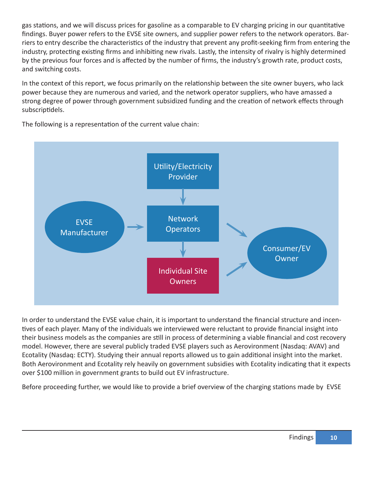gas stations, and we will discuss prices for gasoline as a comparable to EV charging pricing in our quantitative findings. Buyer power refers to the EVSE site owners, and supplier power refers to the network operators. Barriers to entry describe the characteristics of the industry that prevent any profit-seeking firm from entering the industry, protecting existing firms and inhibiting new rivals. Lastly, the intensity of rivalry is highly determined by the previous four forces and is affected by the number of firms, the industry's growth rate, product costs, and switching costs.

In the context of this report, we focus primarily on the relationship between the site owner buyers, who lack power because they are numerous and varied, and the network operator suppliers, who have amassed a strong degree of power through government subsidized funding and the creation of network effects through subscriptidels.



The following is a representation of the current value chain:

In order to understand the EVSE value chain, it is important to understand the financial structure and incentives of each player. Many of the individuals we interviewed were reluctant to provide financial insight into their business models as the companies are still in process of determining a viable financial and cost recovery model. However, there are several publicly traded EVSE players such as Aerovironment (Nasdaq: AVAV) and Ecotality (Nasdaq: ECTY). Studying their annual reports allowed us to gain additional insight into the market. Both Aerovironment and Ecotality rely heavily on government subsidies with Ecotality indicating that it expects over \$100 million in government grants to build out EV infrastructure.

Before proceeding further, we would like to provide a brief overview of the charging stations made by EVSE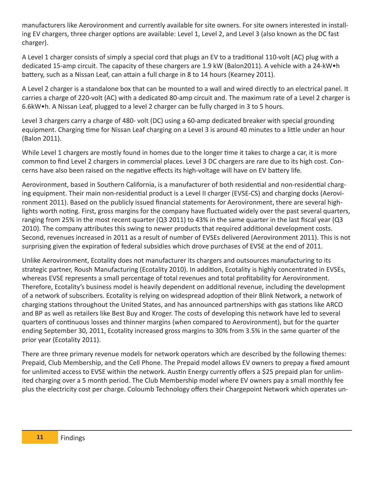manufacturers like Aerovironment and currently available for site owners. For site owners interested in installing EV chargers, three charger options are available: Level 1, Level 2, and Level 3 (also known as the DC fast charger).

A Level 1 charger consists of simply a special cord that plugs an EV to a traditional 110-volt (AC) plug with a dedicated 15-amp circuit. The capacity of these chargers are 1.9 kW (Balon2011). A vehicle with a 24-kW•h battery, such as a Nissan Leaf, can attain a full charge in 8 to 14 hours (Kearney 2011).

A Level 2 charger is a standalone box that can be mounted to a wall and wired directly to an electrical panel. It carries a charge of 220-volt (AC) with a dedicated 80-amp circuit and. The maximum rate of a Level 2 charger is 6.6kW•h. A Nissan Leaf, plugged to a level 2 charger can be fully charged in 3 to 5 hours.

Level 3 chargers carry a charge of 480- volt (DC) using a 60-amp dedicated breaker with special grounding equipment. Charging time for Nissan Leaf charging on a Level 3 is around 40 minutes to a little under an hour (Balon 2011).

While Level 1 chargers are mostly found in homes due to the longer time it takes to charge a car, it is more common to find Level 2 chargers in commercial places. Level 3 DC chargers are rare due to its high cost. Concerns have also been raised on the negative effects its high-voltage will have on EV battery life.

Aerovironment, based in Southern California, is a manufacturer of both residential and non-residential charging equipment. Their main non-residential product is a Level II charger (EVSE-CS) and charging docks (Aerovironment 2011). Based on the publicly issued financial statements for Aerovironment, there are several highlights worth noting. First, gross margins for the company have fluctuated widely over the past several quarters, ranging from 25% in the most recent quarter (Q3 2011) to 43% in the same quarter in the last fiscal year (Q3 2010). The company attributes this swing to newer products that required additional development costs. Second, revenues increased in 2011 as a result of number of EVSEs delivered (Aerovironment 2011). This is not surprising given the expiration of federal subsidies which drove purchases of EVSE at the end of 2011.

Unlike Aerovironment, Ecotality does not manufacturer its chargers and outsources manufacturing to its strategic partner, Roush Manufacturing (Ecotality 2010). In addition, Ecotality is highly concentrated in EVSEs, whereas EVSE represents a small percentage of total revenues and total profitability for Aerovironment. Therefore, Ecotality's business model is heavily dependent on additional revenue, including the development of a network of subscribers. Ecotality is relying on widespread adoption of their Blink Network, a network of charging stations throughout the United States, and has announced partnerships with gas stations like ARCO and BP as well as retailers like Best Buy and Kroger. The costs of developing this network have led to several quarters of continuous losses and thinner margins (when compared to Aerovironment), but for the quarter ending September 30, 2011, Ecotality increased gross margins to 30% from 3.5% in the same quarter of the prior year (Ecotality 2011).

There are three primary revenue models for network operators which are described by the following themes: Prepaid, Club Membership, and the Cell Phone. The Prepaid model allows EV owners to prepay a fixed amount for unlimited access to EVSE within the network. Austin Energy currently offers a \$25 prepaid plan for unlimited charging over a 5 month period. The Club Membership model where EV owners pay a small monthly fee plus the electricity cost per charge. Coloumb Technology offers their Chargepoint Network which operates un-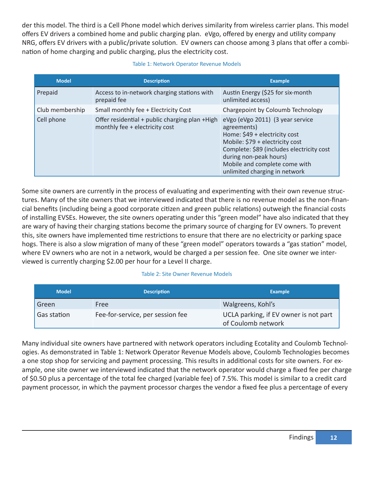der this model. The third is a Cell Phone model which derives similarity from wireless carrier plans. This model offers EV drivers a combined home and public charging plan. eVgo, offered by energy and utility company NRG, offers EV drivers with a public/private solution. EV owners can choose among 3 plans that offer a combination of home charging and public charging, plus the electricity cost.

#### Table 1: Network Operator Revenue Models

| <b>Model</b>    | <b>Description</b>                                                               | <b>Example</b>                                                                                                                                                                                                                                               |
|-----------------|----------------------------------------------------------------------------------|--------------------------------------------------------------------------------------------------------------------------------------------------------------------------------------------------------------------------------------------------------------|
| Prepaid         | Access to in-network charging stations with<br>prepaid fee                       | Austin Energy (\$25 for six-month<br>unlimited access)                                                                                                                                                                                                       |
| Club membership | Small monthly fee + Electricity Cost                                             | Chargepoint by Coloumb Technology                                                                                                                                                                                                                            |
| Cell phone      | Offer residential + public charging plan +High<br>monthly fee + electricity cost | eVgo (eVgo 2011) (3 year service<br>agreements)<br>Home: \$49 + electricity cost<br>Mobile: \$79 + electricity cost<br>Complete: \$89 (includes electricity cost<br>during non-peak hours)<br>Mobile and complete come with<br>unlimited charging in network |

Some site owners are currently in the process of evaluating and experimenting with their own revenue structures. Many of the site owners that we interviewed indicated that there is no revenue model as the non-financial benefits (including being a good corporate citizen and green public relations) outweigh the financial costs of installing EVSEs. However, the site owners operating under this "green model" have also indicated that they are wary of having their charging stations become the primary source of charging for EV owners. To prevent this, site owners have implemented time restrictions to ensure that there are no electricity or parking space hogs. There is also a slow migration of many of these "green model" operators towards a "gas station" model, where EV owners who are not in a network, would be charged a per session fee. One site owner we interviewed is currently charging \$2.00 per hour for a Level II charge.

#### Table 2: Site Owner Revenue Models

| <b>Model</b> | <b>Description</b>               | <b>Example</b>                                              |
|--------------|----------------------------------|-------------------------------------------------------------|
| Green        | Free                             | Walgreens, Kohl's                                           |
| Gas station  | Fee-for-service, per session fee | UCLA parking, if EV owner is not part<br>of Coulomb network |

Many individual site owners have partnered with network operators including Ecotality and Coulomb Technologies. As demonstrated in Table 1: Network Operator Revenue Models above, Coulomb Technologies becomes a one stop shop for servicing and payment processing. This results in additional costs for site owners. For example, one site owner we interviewed indicated that the network operator would charge a fixed fee per charge of \$0.50 plus a percentage of the total fee charged (variable fee) of 7.5%. This model is similar to a credit card payment processor, in which the payment processor charges the vendor a fixed fee plus a percentage of every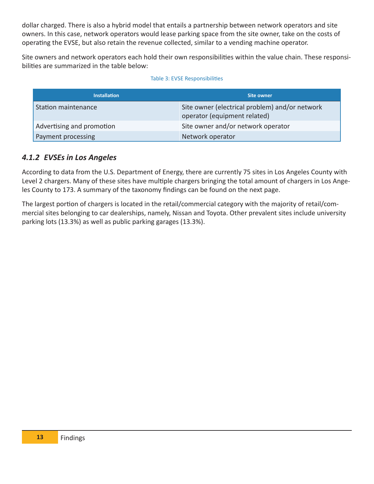dollar charged. There is also a hybrid model that entails a partnership between network operators and site owners. In this case, network operators would lease parking space from the site owner, take on the costs of operating the EVSE, but also retain the revenue collected, similar to a vending machine operator.

Site owners and network operators each hold their own responsibilities within the value chain. These responsibilities are summarized in the table below:

#### Table 3: EVSE Responsibilities

| <b>Installation</b>       | <b>Site owner</b>                                                              |
|---------------------------|--------------------------------------------------------------------------------|
| Station maintenance       | Site owner (electrical problem) and/or network<br>operator (equipment related) |
| Advertising and promotion | Site owner and/or network operator                                             |
| Payment processing        | Network operator                                                               |

### *4.1.2 EVSEs in Los Angeles*

According to data from the U.S. Department of Energy, there are currently 75 sites in Los Angeles County with Level 2 chargers. Many of these sites have multiple chargers bringing the total amount of chargers in Los Angeles County to 173. A summary of the taxonomy findings can be found on the next page.

The largest portion of chargers is located in the retail/commercial category with the majority of retail/commercial sites belonging to car dealerships, namely, Nissan and Toyota. Other prevalent sites include university parking lots (13.3%) as well as public parking garages (13.3%).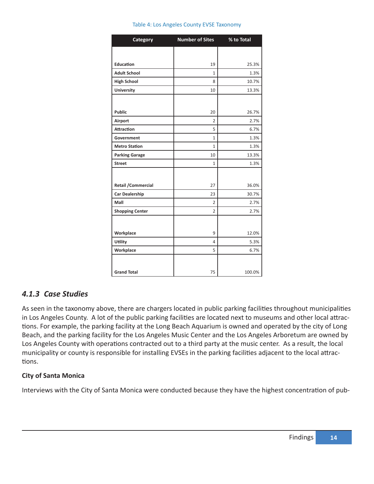|  |  |  |  |  | Table 4: Los Angeles County EVSE Taxonomy |
|--|--|--|--|--|-------------------------------------------|
|--|--|--|--|--|-------------------------------------------|

| <b>Category</b>            | <b>Number of Sites</b> | % to Total |
|----------------------------|------------------------|------------|
|                            |                        |            |
| Education                  | 19                     | 25.3%      |
| <b>Adult School</b>        | $\mathbf{1}$           | 1.3%       |
| <b>High School</b>         | 8                      | 10.7%      |
| <b>University</b>          | 10                     | 13.3%      |
|                            |                        |            |
| <b>Public</b>              | 20                     | 26.7%      |
| Airport                    | $\overline{2}$         | 2.7%       |
| <b>Attraction</b>          | 5                      | 6.7%       |
| Government                 | $\mathbf{1}$           | 1.3%       |
| <b>Metro Station</b>       | $\mathbf{1}$           | 1.3%       |
| <b>Parking Garage</b>      | 10                     | 13.3%      |
| <b>Street</b>              | $\mathbf{1}$           | 1.3%       |
|                            |                        |            |
| <b>Retail / Commercial</b> | 27                     | 36.0%      |
| <b>Car Dealership</b>      | 23                     | 30.7%      |
| Mall                       | $\overline{2}$         | 2.7%       |
| <b>Shopping Center</b>     | $\overline{2}$         | 2.7%       |
|                            |                        |            |
| Workplace                  | 9                      | 12.0%      |
| Utility                    | 4                      | 5.3%       |
| Workplace                  | 5                      | 6.7%       |
|                            |                        |            |
| <b>Grand Total</b>         | 75                     | 100.0%     |

### *4.1.3 Case Studies*

As seen in the taxonomy above, there are chargers located in public parking facilities throughout municipalities in Los Angeles County. A lot of the public parking facilities are located next to museums and other local attractions. For example, the parking facility at the Long Beach Aquarium is owned and operated by the city of Long Beach, and the parking facility for the Los Angeles Music Center and the Los Angeles Arboretum are owned by Los Angeles County with operations contracted out to a third party at the music center. As a result, the local municipality or county is responsible for installing EVSEs in the parking facilities adjacent to the local attractions.

Ī

#### **City of Santa Monica**

Interviews with the City of Santa Monica were conducted because they have the highest concentration of pub-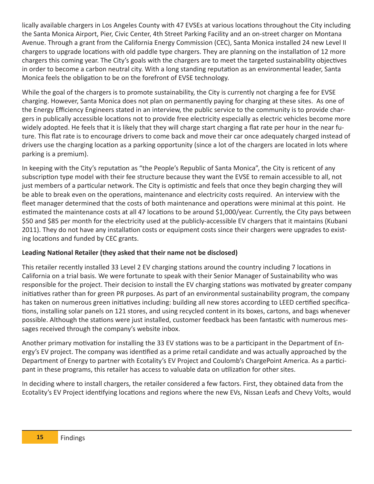lically available chargers in Los Angeles County with 47 EVSEs at various locations throughout the City including the Santa Monica Airport, Pier, Civic Center, 4th Street Parking Facility and an on-street charger on Montana Avenue. Through a grant from the California Energy Commission (CEC), Santa Monica installed 24 new Level II chargers to upgrade locations with old paddle type chargers. They are planning on the installation of 12 more chargers this coming year. The City's goals with the chargers are to meet the targeted sustainability objectives in order to become a carbon neutral city. With a long standing reputation as an environmental leader, Santa Monica feels the obligation to be on the forefront of EVSE technology.

While the goal of the chargers is to promote sustainability, the City is currently not charging a fee for EVSE charging. However, Santa Monica does not plan on permanently paying for charging at these sites. As one of the Energy Efficiency Engineers stated in an interview, the public service to the community is to provide chargers in publically accessible locations not to provide free electricity especially as electric vehicles become more widely adopted. He feels that it is likely that they will charge start charging a flat rate per hour in the near future. This flat rate is to encourage drivers to come back and move their car once adequately charged instead of drivers use the charging location as a parking opportunity (since a lot of the chargers are located in lots where parking is a premium).

In keeping with the City's reputation as "the People's Republic of Santa Monica", the City is reticent of any subscription type model with their fee structure because they want the EVSE to remain accessible to all, not just members of a particular network. The City is optimistic and feels that once they begin charging they will be able to break even on the operations, maintenance and electricity costs required. An interview with the fleet manager determined that the costs of both maintenance and operations were minimal at this point. He estimated the maintenance costs at all 47 locations to be around \$1,000/year. Currently, the City pays between \$50 and \$85 per month for the electricity used at the publicly-accessible EV chargers that it maintains (Kubani 2011). They do not have any installation costs or equipment costs since their chargers were upgrades to existing locations and funded by CEC grants.

### **Leading National Retailer (they asked that their name not be disclosed)**

This retailer recently installed 33 Level 2 EV charging stations around the country including 7 locations in California on a trial basis. We were fortunate to speak with their Senior Manager of Sustainability who was responsible for the project. Their decision to install the EV charging stations was motivated by greater company initiatives rather than for green PR purposes. As part of an environmental sustainability program, the company has taken on numerous green initiatives including: building all new stores according to LEED certified specifications, installing solar panels on 121 stores, and using recycled content in its boxes, cartons, and bags whenever possible. Although the stations were just installed, customer feedback has been fantastic with numerous messages received through the company's website inbox.

Another primary motivation for installing the 33 EV stations was to be a participant in the Department of Energy's EV project. The company was identified as a prime retail candidate and was actually approached by the Department of Energy to partner with Ecotality's EV Project and Coulomb's ChargePoint America. As a participant in these programs, this retailer has access to valuable data on utilization for other sites.

In deciding where to install chargers, the retailer considered a few factors. First, they obtained data from the Ecotality's EV Project identifying locations and regions where the new EVs, Nissan Leafs and Chevy Volts, would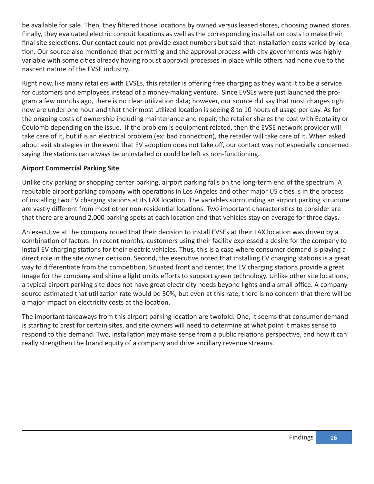be available for sale. Then, they filtered those locations by owned versus leased stores, choosing owned stores. Finally, they evaluated electric conduit locations as well as the corresponding installation costs to make their final site selections. Our contact could not provide exact numbers but said that installation costs varied by location. Our source also mentioned that permitting and the approval process with city governments was highly variable with some cities already having robust approval processes in place while others had none due to the nascent nature of the EVSE industry.

Right now, like many retailers with EVSEs, this retailer is offering free charging as they want it to be a service for customers and employees instead of a money-making venture. Since EVSEs were just launched the program a few months ago, there is no clear utilization data; however, our source did say that most charges right now are under one hour and that their most utilized location is seeing 8 to 10 hours of usage per day. As for the ongoing costs of ownership including maintenance and repair, the retailer shares the cost with Ecotality or Coulomb depending on the issue. If the problem is equipment related, then the EVSE network provider will take care of it, but if is an electrical problem (ex: bad connection), the retailer will take care of it. When asked about exit strategies in the event that EV adoption does not take off, our contact was not especially concerned saying the stations can always be uninstalled or could be left as non-functioning.

#### **Airport Commercial Parking Site**

Unlike city parking or shopping center parking, airport parking falls on the long-term end of the spectrum. A reputable airport parking company with operations in Los Angeles and other major US cities is in the process of installing two EV charging stations at its LAX location. The variables surrounding an airport parking structure are vastly different from most other non-residential locations. Two important characteristics to consider are that there are around 2,000 parking spots at each location and that vehicles stay on average for three days.

An executive at the company noted that their decision to install EVSEs at their LAX location was driven by a combination of factors. In recent months, customers using their facility expressed a desire for the company to install EV charging stations for their electric vehicles. Thus, this is a case where consumer demand is playing a direct role in the site owner decision. Second, the executive noted that installing EV charging stations is a great way to differentiate from the competition. Situated front and center, the EV charging stations provide a great image for the company and shine a light on its efforts to support green technology. Unlike other site locations, a typical airport parking site does not have great electricity needs beyond lights and a small office. A company source estimated that utilization rate would be 50%, but even at this rate, there is no concern that there will be a major impact on electricity costs at the location.

The important takeaways from this airport parking location are twofold. One, it seems that consumer demand is starting to crest for certain sites, and site owners will need to determine at what point it makes sense to respond to this demand. Two, installation may make sense from a public relations perspective, and how it can really strengthen the brand equity of a company and drive ancillary revenue streams.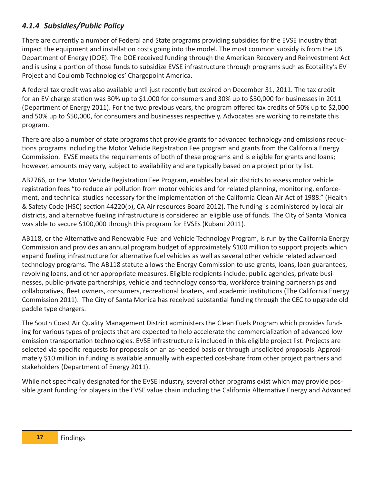### *4.1.4 Subsidies/Public Policy*

There are currently a number of Federal and State programs providing subsidies for the EVSE industry that impact the equipment and installation costs going into the model. The most common subsidy is from the US Department of Energy (DOE). The DOE received funding through the American Recovery and Reinvestment Act and is using a portion of those funds to subsidize EVSE infrastructure through programs such as Ecotaility's EV Project and Coulomb Technologies' Chargepoint America.

A federal tax credit was also available until just recently but expired on December 31, 2011. The tax credit for an EV charge station was 30% up to \$1,000 for consumers and 30% up to \$30,000 for businesses in 2011 (Department of Energy 2011). For the two previous years, the program offered tax credits of 50% up to \$2,000 and 50% up to \$50,000, for consumers and businesses respectively. Advocates are working to reinstate this program.

There are also a number of state programs that provide grants for advanced technology and emissions reductions programs including the Motor Vehicle Registration Fee program and grants from the California Energy Commission. EVSE meets the requirements of both of these programs and is eligible for grants and loans; however, amounts may vary, subject to availability and are typically based on a project priority list.

AB2766, or the Motor Vehicle Registration Fee Program, enables local air districts to assess motor vehicle registration fees "to reduce air pollution from motor vehicles and for related planning, monitoring, enforcement, and technical studies necessary for the implementation of the California Clean Air Act of 1988." (Health & Safety Code (HSC) section 44220(b), CA Air resources Board 2012). The funding is administered by local air districts, and alternative fueling infrastructure is considered an eligible use of funds. The City of Santa Monica was able to secure \$100,000 through this program for EVSEs (Kubani 2011).

AB118, or the Alternative and Renewable Fuel and Vehicle Technology Program, is run by the California Energy Commission and provides an annual program budget of approximately \$100 million to support projects which expand fueling infrastructure for alternative fuel vehicles as well as several other vehicle related advanced technology programs. The AB118 statute allows the Energy Commission to use grants, loans, loan guarantees, revolving loans, and other appropriate measures. Eligible recipients include: public agencies, private businesses, public-private partnerships, vehicle and technology consortia, workforce training partnerships and collaboratives, fleet owners, consumers, recreational boaters, and academic institutions (The California Energy Commission 2011). The City of Santa Monica has received substantial funding through the CEC to upgrade old paddle type chargers.

The South Coast Air Quality Management District administers the Clean Fuels Program which provides funding for various types of projects that are expected to help accelerate the commercialization of advanced low emission transportation technologies. EVSE infrastructure is included in this eligible project list. Projects are selected via specific requests for proposals on an as-needed basis or through unsolicited proposals. Approximately \$10 million in funding is available annually with expected cost-share from other project partners and stakeholders (Department of Energy 2011).

While not specifically designated for the EVSE industry, several other programs exist which may provide possible grant funding for players in the EVSE value chain including the California Alternative Energy and Advanced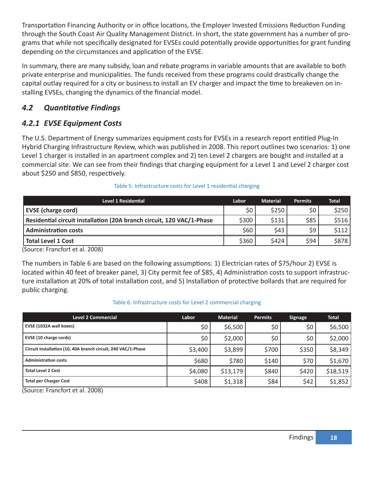Transportation Financing Authority or in office locations, the Employer Invested Emissions Reduction Funding through the South Coast Air Quality Management District. In short, the state government has a number of programs that while not specifically designated for EVSEs could potentially provide opportunities for grant funding depending on the circumstances and application of the EVSE.

In summary, there are many subsidy, loan and rebate programs in variable amounts that are available to both private enterprise and municipalities. The funds received from these programs could drastically change the capital outlay required for a city or business to install an EV charger and impact the time to breakeven on installing EVSEs, changing the dynamics of the financial model.

### *4.2 Quantitative Findings*

### *4.2.1 EVSE Equipment Costs*

The U.S. Department of Energy summarizes equipment costs for EVSEs in a research report entitled Plug-In Hybrid Charging Infrastructure Review, which was published in 2008. This report outlines two scenarios: 1) one Level 1 charger is installed in an apartment complex and 2) ten Level 2 chargers are bought and installed at a commercial site. We can see from their findings that charging equipment for a Level 1 and Level 2 charger cost about \$250 and \$850, respectively.

| <b>Level 1 Residential</b>                                            | Labor | <b>Material</b> | <b>Permits</b> | <b>Total</b> |
|-----------------------------------------------------------------------|-------|-----------------|----------------|--------------|
| <b>EVSE</b> (charge cord)                                             | \$0   | \$250           | \$0\$          | \$250        |
| Residential circuit installation (20A branch circuit, 120 VAC/1-Phase | \$300 | \$131           | \$85           | \$516        |
| <b>Administration costs</b>                                           | \$60  | \$43            | \$9            | \$112        |
| Total Level 1 Cost                                                    | \$360 | \$424           | \$94           | \$878        |

#### Table 5: Infrastructure costs for Level 1 residential charging

(Source: Francfort et al. 2008)

The numbers in Table 6 are based on the following assumptions: 1) Electrician rates of \$75/hour 2) EVSE is located within 40 feet of breaker panel, 3) City permit fee of \$85, 4) Administration costs to support infrastructure installation at 20% of total installation cost, and 5) Installation of protective bollards that are required for public charging.

#### Table 6: Infrastructure costs for Level 2 commercial charging

| <b>Level 2 Commercial</b>                                                                                         | Labor   | <b>Material</b> | <b>Permits</b> | <b>Signage</b> | <b>Total</b> |
|-------------------------------------------------------------------------------------------------------------------|---------|-----------------|----------------|----------------|--------------|
| EVSE (1032A wall boxes)                                                                                           | \$0     | \$6,500         | \$0            | \$0            | \$6,500      |
| EVSE (10 charge cords)                                                                                            | \$0     | \$2,000         | \$0            | \$0            | \$2,000      |
| Circuit installation (10, 40A branch circuit, 240 VAC/1-Phase                                                     | \$3,400 | \$3,899         | \$700          | \$350          | \$8,349      |
| <b>Administration costs</b>                                                                                       | \$680   | \$780           | \$140          | \$70           | \$1,670      |
| <b>Total Level 2 Cost</b>                                                                                         | \$4,080 | \$13,179        | \$840          | \$420          | \$18,519     |
| <b>Total per Charger Cost</b>                                                                                     | \$408   | \$1,318         | \$84           | \$42           | \$1,852      |
| $(C_2 \cup 22)$ $\Gamma_{12}$ $\Gamma_{23}$ $\Gamma_{24}$ $\Gamma_{34}$ $\Gamma_{41}$ $\Gamma_{12}$ $\Gamma_{13}$ |         |                 |                |                |              |

(Source: Francfort et al. 2008)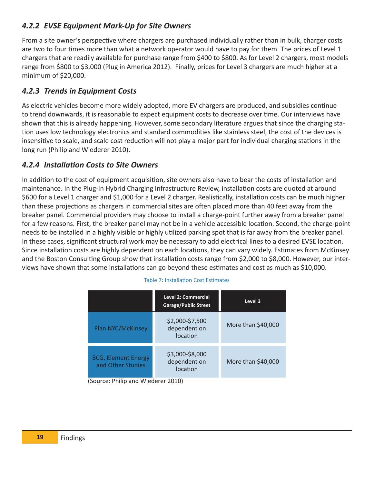### *4.2.2 EVSE Equipment Mark-Up for Site Owners*

From a site owner's perspective where chargers are purchased individually rather than in bulk, charger costs are two to four times more than what a network operator would have to pay for them. The prices of Level 1 chargers that are readily available for purchase range from \$400 to \$800. As for Level 2 chargers, most models range from \$800 to \$3,000 (Plug in America 2012). Finally, prices for Level 3 chargers are much higher at a minimum of \$20,000.

### *4.2.3 Trends in Equipment Costs*

As electric vehicles become more widely adopted, more EV chargers are produced, and subsidies continue to trend downwards, it is reasonable to expect equipment costs to decrease over time. Our interviews have shown that this is already happening. However, some secondary literature argues that since the charging station uses low technology electronics and standard commodities like stainless steel, the cost of the devices is insensitive to scale, and scale cost reduction will not play a major part for individual charging stations in the long run (Philip and Wiederer 2010).

### *4.2.4 Installation Costs to Site Owners*

In addition to the cost of equipment acquisition, site owners also have to bear the costs of installation and maintenance. In the Plug-In Hybrid Charging Infrastructure Review, installation costs are quoted at around \$600 for a Level 1 charger and \$1,000 for a Level 2 charger. Realistically, installation costs can be much higher than these projections as chargers in commercial sites are often placed more than 40 feet away from the breaker panel. Commercial providers may choose to install a charge-point further away from a breaker panel for a few reasons. First, the breaker panel may not be in a vehicle accessible location. Second, the charge-point needs to be installed in a highly visible or highly utilized parking spot that is far away from the breaker panel. In these cases, significant structural work may be necessary to add electrical lines to a desired EVSE location. Since installation costs are highly dependent on each locations, they can vary widely. Estimates from McKinsey and the Boston Consulting Group show that installation costs range from \$2,000 to \$8,000. However, our interviews have shown that some installations can go beyond these estimates and cost as much as \$10,000.

|                                                 | <b>Level 2: Commercial</b><br><b>Garage/Public Street</b> | Level 3            |
|-------------------------------------------------|-----------------------------------------------------------|--------------------|
| Plan NYC/McKInsey                               | \$2,000-\$7,500<br>dependent on<br>location               | More than \$40,000 |
| <b>BCG, Element Energy</b><br>and Other Studies | \$3,000-\$8,000<br>dependent on<br>location               | More than \$40,000 |

#### Table 7: Installation Cost Estimates

(Source: Philip and Wiederer 2010)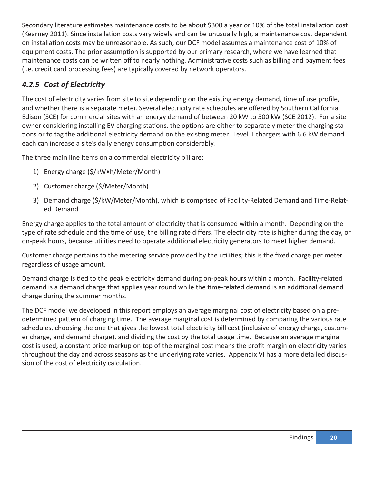Secondary literature estimates maintenance costs to be about \$300 a year or 10% of the total installation cost (Kearney 2011). Since installation costs vary widely and can be unusually high, a maintenance cost dependent on installation costs may be unreasonable. As such, our DCF model assumes a maintenance cost of 10% of equipment costs. The prior assumption is supported by our primary research, where we have learned that maintenance costs can be written off to nearly nothing. Administrative costs such as billing and payment fees (i.e. credit card processing fees) are typically covered by network operators.

### *4.2.5 Cost of Electricity*

The cost of electricity varies from site to site depending on the existing energy demand, time of use profile, and whether there is a separate meter. Several electricity rate schedules are offered by Southern California Edison (SCE) for commercial sites with an energy demand of between 20 kW to 500 kW (SCE 2012). For a site owner considering installing EV charging stations, the options are either to separately meter the charging stations or to tag the additional electricity demand on the existing meter. Level II chargers with 6.6 kW demand each can increase a site's daily energy consumption considerably.

The three main line items on a commercial electricity bill are:

- 1) Energy charge (\$/kW•h/Meter/Month)
- 2) Customer charge (\$/Meter/Month)
- 3) Demand charge (\$/kW/Meter/Month), which is comprised of Facility-Related Demand and Time-Related Demand

Energy charge applies to the total amount of electricity that is consumed within a month. Depending on the type of rate schedule and the time of use, the billing rate differs. The electricity rate is higher during the day, or on-peak hours, because utilities need to operate additional electricity generators to meet higher demand.

Customer charge pertains to the metering service provided by the utilities; this is the fixed charge per meter regardless of usage amount.

Demand charge is tied to the peak electricity demand during on-peak hours within a month. Facility-related demand is a demand charge that applies year round while the time-related demand is an additional demand charge during the summer months.

The DCF model we developed in this report employs an average marginal cost of electricity based on a predetermined pattern of charging time. The average marginal cost is determined by comparing the various rate schedules, choosing the one that gives the lowest total electricity bill cost (inclusive of energy charge, customer charge, and demand charge), and dividing the cost by the total usage time. Because an average marginal cost is used, a constant price markup on top of the marginal cost means the profit margin on electricity varies throughout the day and across seasons as the underlying rate varies. Appendix VI has a more detailed discussion of the cost of electricity calculation.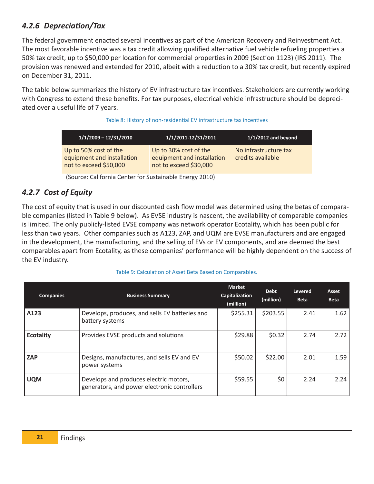### *4.2.6 Depreciation/Tax*

The federal government enacted several incentives as part of the American Recovery and Reinvestment Act. The most favorable incentive was a tax credit allowing qualified alternative fuel vehicle refueling properties a 50% tax credit, up to \$50,000 per location for commercial properties in 2009 (Section 1123) (IRS 2011). The provision was renewed and extended for 2010, albeit with a reduction to a 30% tax credit, but recently expired on December 31, 2011.

The table below summarizes the history of EV infrastructure tax incentives. Stakeholders are currently working with Congress to extend these benefits. For tax purposes, electrical vehicle infrastructure should be depreciated over a useful life of 7 years.

#### Table 8: History of non-residential EV infrastructure tax incentives

| $1/1/2009 - 12/31/2010$                                                       | 1/1/2011-12/31/2011                                                           | $1/1/2012$ and beyond                      |
|-------------------------------------------------------------------------------|-------------------------------------------------------------------------------|--------------------------------------------|
| Up to 50% cost of the<br>equipment and installation<br>not to exceed \$50,000 | Up to 30% cost of the<br>equipment and installation<br>not to exceed \$30,000 | No infrastructure tax<br>credits available |

(Source: California Center for Sustainable Energy 2010)

### *4.2.7 Cost of Equity*

The cost of equity that is used in our discounted cash flow model was determined using the betas of comparable companies (listed in Table 9 below). As EVSE industry is nascent, the availability of comparable companies is limited. The only publicly-listed EVSE company was network operator Ecotality, which has been public for less than two years. Other companies such as A123, ZAP, and UQM are EVSE manufacturers and are engaged in the development, the manufacturing, and the selling of EVs or EV components, and are deemed the best comparables apart from Ecotality, as these companies' performance will be highly dependent on the success of the EV industry.

#### Table 9: Calculation of Asset Beta Based on Comparables.

| <b>Companies</b> | <b>Business Summary</b>                                                                | <b>Market</b><br>Capitalization<br>(million) | <b>Debt</b><br>(million) | <b>Levered</b><br><b>Beta</b> | Asset<br><b>Beta</b> |
|------------------|----------------------------------------------------------------------------------------|----------------------------------------------|--------------------------|-------------------------------|----------------------|
| A123             | Develops, produces, and sells EV batteries and<br>battery systems                      | \$255.31                                     | \$203.55                 | 2.41                          | 1.62                 |
| <b>Ecotality</b> | Provides EVSE products and solutions                                                   | \$29.88                                      | \$0.32                   | 2.74                          | 2.72                 |
| <b>ZAP</b>       | Designs, manufactures, and sells EV and EV<br>power systems                            | \$50.02                                      | \$22.00                  | 2.01                          | 1.59                 |
| <b>UQM</b>       | Develops and produces electric motors,<br>generators, and power electronic controllers | \$59.55                                      | \$0                      | 2.24                          | 2.24                 |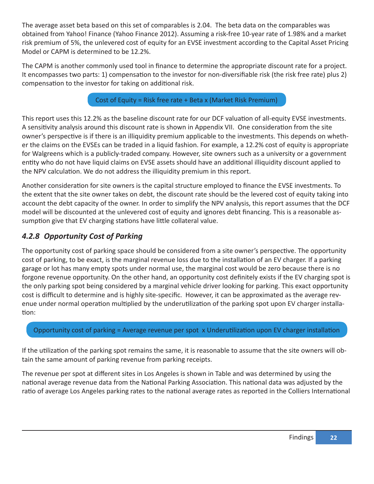The average asset beta based on this set of comparables is 2.04. The beta data on the comparables was obtained from Yahoo! Finance (Yahoo Finance 2012). Assuming a risk-free 10-year rate of 1.98% and a market risk premium of 5%, the unlevered cost of equity for an EVSE investment according to the Capital Asset Pricing Model or CAPM is determined to be 12.2%.

The CAPM is another commonly used tool in finance to determine the appropriate discount rate for a project. It encompasses two parts: 1) compensation to the investor for non-diversifiable risk (the risk free rate) plus 2) compensation to the investor for taking on additional risk.

Cost of Equity = Risk free rate + Beta x (Market Risk Premium)

This report uses this 12.2% as the baseline discount rate for our DCF valuation of all-equity EVSE investments. A sensitivity analysis around this discount rate is shown in Appendix VII. One consideration from the site owner's perspective is if there is an illiquidity premium applicable to the investments. This depends on whether the claims on the EVSEs can be traded in a liquid fashion. For example, a 12.2% cost of equity is appropriate for Walgreens which is a publicly-traded company. However, site owners such as a university or a government entity who do not have liquid claims on EVSE assets should have an additional illiquidity discount applied to the NPV calculation. We do not address the illiquidity premium in this report.

Another consideration for site owners is the capital structure employed to finance the EVSE investments. To the extent that the site owner takes on debt, the discount rate should be the levered cost of equity taking into account the debt capacity of the owner. In order to simplify the NPV analysis, this report assumes that the DCF model will be discounted at the unlevered cost of equity and ignores debt financing. This is a reasonable assumption give that EV charging stations have little collateral value.

### *4.2.8 Opportunity Cost of Parking*

The opportunity cost of parking space should be considered from a site owner's perspective. The opportunity cost of parking, to be exact, is the marginal revenue loss due to the installation of an EV charger. If a parking garage or lot has many empty spots under normal use, the marginal cost would be zero because there is no forgone revenue opportunity. On the other hand, an opportunity cost definitely exists if the EV charging spot is the only parking spot being considered by a marginal vehicle driver looking for parking. This exact opportunity cost is difficult to determine and is highly site-specific. However, it can be approximated as the average revenue under normal operation multiplied by the underutilization of the parking spot upon EV charger installation:

Opportunity cost of parking = Average revenue per spot x Underutilization upon EV charger installation

If the utilization of the parking spot remains the same, it is reasonable to assume that the site owners will obtain the same amount of parking revenue from parking receipts.

The revenue per spot at different sites in Los Angeles is shown in Table and was determined by using the national average revenue data from the National Parking Association. This national data was adjusted by the ratio of average Los Angeles parking rates to the national average rates as reported in the Colliers International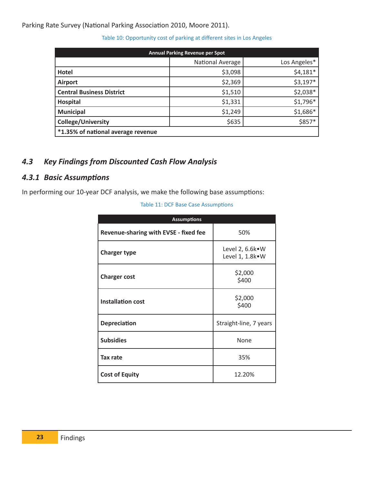Parking Rate Survey (National Parking Association 2010, Moore 2011).

| <b>Annual Parking Revenue per Spot</b> |                  |              |  |  |
|----------------------------------------|------------------|--------------|--|--|
|                                        | National Average | Los Angeles* |  |  |
| Hotel                                  | \$3,098          | $$4,181*$    |  |  |
| <b>Airport</b>                         | \$2,369          | $$3,197*$    |  |  |
| <b>Central Business District</b>       | \$1,510          | \$2,038*     |  |  |
| <b>Hospital</b>                        | \$1,331          | \$1,796*     |  |  |
| <b>Municipal</b>                       | \$1,249          | \$1,686*     |  |  |
| <b>College/University</b>              | \$635            | \$857*       |  |  |
| *1.35% of national average revenue     |                  |              |  |  |

#### Table 10: Opportunity cost of parking at different sites in Los Angeles

### *4.3 Key Findings from Discounted Cash Flow Analysis*

### *4.3.1 Basic Assumptions*

In performing our 10-year DCF analysis, we make the following base assumptions:

#### Table 11: DCF Base Case Assumptions

| <b>Assumptions</b>                    |                                        |
|---------------------------------------|----------------------------------------|
| Revenue-sharing with EVSE - fixed fee | 50%                                    |
| <b>Charger type</b>                   | Level 2, 6.6k · W<br>Level 1, 1.8k · W |
| <b>Charger cost</b>                   | \$2,000<br>\$400                       |
| <b>Installation cost</b>              | \$2,000<br>\$400                       |
| <b>Depreciation</b>                   | Straight-line, 7 years                 |
| <b>Subsidies</b>                      | None                                   |
| Tax rate                              | 35%                                    |
| <b>Cost of Equity</b>                 | 12.20%                                 |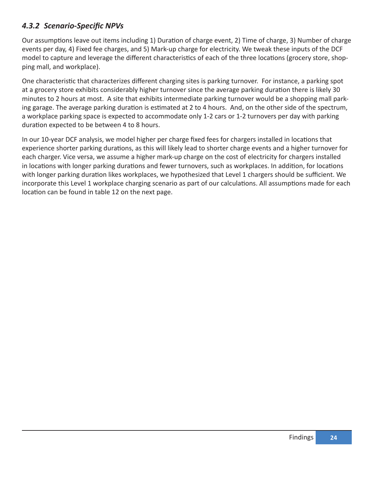### *4.3.2 Scenario-Specific NPVs*

Our assumptions leave out items including 1) Duration of charge event, 2) Time of charge, 3) Number of charge events per day, 4) Fixed fee charges, and 5) Mark-up charge for electricity. We tweak these inputs of the DCF model to capture and leverage the different characteristics of each of the three locations (grocery store, shopping mall, and workplace).

One characteristic that characterizes different charging sites is parking turnover. For instance, a parking spot at a grocery store exhibits considerably higher turnover since the average parking duration there is likely 30 minutes to 2 hours at most. A site that exhibits intermediate parking turnover would be a shopping mall parking garage. The average parking duration is estimated at 2 to 4 hours. And, on the other side of the spectrum, a workplace parking space is expected to accommodate only 1-2 cars or 1-2 turnovers per day with parking duration expected to be between 4 to 8 hours.

In our 10-year DCF analysis, we model higher per charge fixed fees for chargers installed in locations that experience shorter parking durations, as this will likely lead to shorter charge events and a higher turnover for each charger. Vice versa, we assume a higher mark-up charge on the cost of electricity for chargers installed in locations with longer parking durations and fewer turnovers, such as workplaces. In addition, for locations with longer parking duration likes workplaces, we hypothesized that Level 1 chargers should be sufficient. We incorporate this Level 1 workplace charging scenario as part of our calculations. All assumptions made for each location can be found in table 12 on the next page.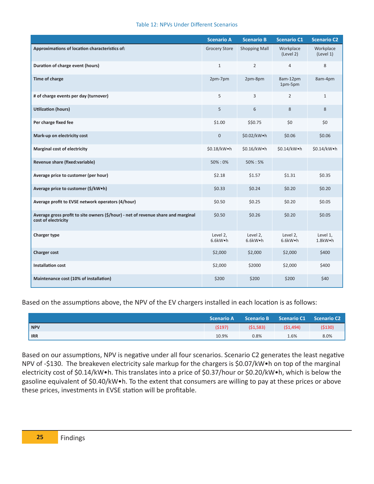#### Table 12: NPVs Under Different Scenarios

|                                                                                                          | <b>Scenario A</b>    | <b>Scenario B</b>    | <b>Scenario C1</b>               | <b>Scenario C2</b>     |
|----------------------------------------------------------------------------------------------------------|----------------------|----------------------|----------------------------------|------------------------|
| Approximations of location characteristics of:                                                           | <b>Grocery Store</b> | <b>Shopping Mall</b> | Workplace<br>(Level 2)           | Workplace<br>(Level 1) |
| Duration of charge event (hours)                                                                         | $\mathbf{1}$         | $\overline{2}$       | $\overline{4}$                   | 8                      |
| <b>Time of charge</b>                                                                                    | 2pm-7pm              | 2pm-8pm              | 8am-12pm<br>1pm-5pm              | 8am-4pm                |
| # of charge events per day (turnover)                                                                    | 5                    | 3                    | $\overline{2}$                   | $\mathbf{1}$           |
| <b>Utilization (hours)</b>                                                                               | 5                    | 6                    | 8                                | 8                      |
| Per charge fixed fee                                                                                     | \$1.00               | \$\$0.75             | \$0                              | \$0                    |
| Mark-up on electricity cost                                                                              | $\mathbf 0$          | \$0.02/kW.h          | \$0.06                           | \$0.06                 |
| <b>Marginal cost of electricity</b>                                                                      | \$0.18/kW•h          | \$0.16/kW•h          | \$0.14/kW•h                      | \$0.14/kW•h            |
| Revenue share (fixed:variable)                                                                           | 50%:0%               | 50%: 5%              |                                  |                        |
| Average price to customer (per hour)                                                                     | \$2.18               | \$1.57               | \$1.31                           | \$0.35                 |
| Average price to customer (\$/kW.h)                                                                      | \$0.33               | \$0.24               | \$0.20                           | \$0.20                 |
| Average profit to EVSE network operators (4/hour)                                                        | \$0.50               | \$0.25               | \$0.20                           | \$0.05                 |
| Average gross profit to site owners (\$/hour) - net of revenue share and marginal<br>cost of electricity | \$0.50               | \$0.26               | \$0.20                           | \$0.05                 |
| Charger type                                                                                             | Level 2,<br>6.6kW.h  | Level 2,<br>6.6kW.h  | Level 2,<br>$6.6$ kW $\bullet$ h | Level 1,<br>1.8kW.h    |
| <b>Charger cost</b>                                                                                      | \$2,000              | \$2,000              | \$2,000                          | \$400                  |
| <b>Installation cost</b>                                                                                 | \$2,000              | \$2000               | \$2,000                          | \$400                  |
| Maintenance cost (10% of installation)                                                                   | \$200                | \$200                | \$200                            | \$40                   |

Based on the assumptions above, the NPV of the EV chargers installed in each location is as follows:

|            | <b>Scenario A</b> | <b>Scenario B</b> | Scenario C1 Scenario C2 |        |
|------------|-------------------|-------------------|-------------------------|--------|
| <b>NPV</b> | (5197)            | (51, 583)         | (51, 494)               | (5130) |
| <b>IRR</b> | 10.9%             | 0.8%              | 1.6%                    | 8.0%   |

Based on our assumptions, NPV is negative under all four scenarios. Scenario C2 generates the least negative NPV of -\$130. The breakeven electricity sale markup for the chargers is \$0.07/kW•h on top of the marginal electricity cost of \$0.14/kW•h. This translates into a price of \$0.37/hour or \$0.20/kW•h, which is below the gasoline equivalent of \$0.40/kW•h. To the extent that consumers are willing to pay at these prices or above these prices, investments in EVSE station will be profitable.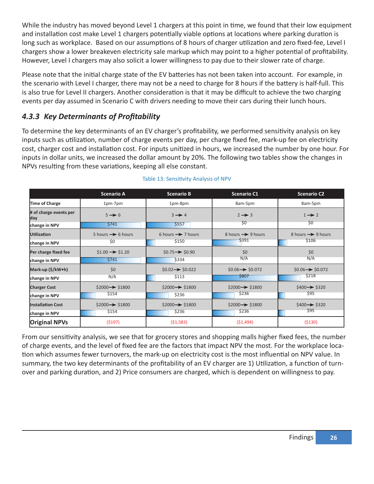While the industry has moved beyond Level 1 chargers at this point in time, we found that their low equipment and installation cost make Level 1 chargers potentially viable options at locations where parking duration is long such as workplace. Based on our assumptions of 8 hours of charger utilization and zero fixed-fee, Level I chargers show a lower breakeven electricity sale markup which may point to a higher potential of profitability. However, Level I chargers may also solicit a lower willingness to pay due to their slower rate of charge.

Please note that the initial charge state of the EV batteries has not been taken into account. For example, in the scenario with Level I charger, there may not be a need to charge for 8 hours if the battery is half-full. This is also true for Level II chargers. Another consideration is that it may be difficult to achieve the two charging events per day assumed in Scenario C with drivers needing to move their cars during their lunch hours.

### *4.3.3 Key Determinants of Profi tability*

To determine the key determinants of an EV charger's profitability, we performed sensitivity analysis on key inputs such as utilization, number of charge events per day, per charge fixed fee, mark-up fee on electricity cost, charger cost and installation cost. For inputs unitized in hours, we increased the number by one hour. For inputs in dollar units, we increased the dollar amount by 20%. The following two tables show the changes in NPVs resulting from these variations, keeping all else constant.

|                               | <b>Scenario A</b>             | <b>Scenario B</b>                                      | <b>Scenario C1</b>            | <b>Scenario C2</b>            |
|-------------------------------|-------------------------------|--------------------------------------------------------|-------------------------------|-------------------------------|
| Time of Charge                | 1pm-7pm                       | 1pm-8pm                                                | 8am-5pm                       | 8am-5pm                       |
| # of charge events per<br>day | $5 \rightarrow 6$             | $3 \rightarrow 4$                                      | $2 \rightarrow 3$             |                               |
| change in NPV                 | \$741                         | \$5557                                                 | \$0                           | \$0                           |
| <b>Utilization</b>            | 5 hours $\rightarrow$ 6 hours | 6 hours $\rightarrow$ 7 hours                          | 8 hours $\rightarrow$ 9 hours | 8 hours $\rightarrow$ 9 hours |
| change in NPV                 | \$0                           | \$150                                                  | \$391                         | \$106                         |
| Per charge fixed fee          | $$1.00 \rightarrow $1.20$     | $$0.75 \rightarrow $0.90$                              | \$0                           | \$0                           |
| change in NPV                 | \$741                         | \$334                                                  | N/A                           | N/A                           |
| Mark-up (\$/kW•h)             | \$0                           | $$0.02 \rightarrow $0.022$$                            | $$0.06 \rightarrow $0.072$    | $$0.06 \rightarrow $0.072$    |
| change in NPV                 | N/A                           | \$113                                                  | \$807                         | \$218                         |
| <b>Charger Cost</b>           | $$2000 \rightarrow $1800$     | $$2000 \rightarrow $1800$                              | $$2000 \rightarrow $1800$     | $$400 \rightarrow $320$       |
| change in NPV                 | \$154                         | \$236                                                  | \$236                         | \$95                          |
| <b>Installation Cost</b>      | $$2000 \rightarrow $1800$     | $$2000 \rightarrow $1800$<br>$$2000 \rightarrow $1800$ |                               | $$400 \rightarrow $320$       |
| change in NPV                 | \$154                         | \$236                                                  | \$236                         | \$95                          |
| <b>Original NPVs</b>          | (\$197)                       | (51, 583)                                              | (51, 494)                     | (5130)                        |

#### Table 13: Sensitivity Analysis of NPV

From our sensitivity analysis, we see that for grocery stores and shopping malls higher fixed fees, the number of charge events, and the level of fixed fee are the factors that impact NPV the most. For the workplace location which assumes fewer turnovers, the mark-up on electricity cost is the most influential on NPV value. In summary, the two key determinants of the profitability of an EV charger are 1) Utilization, a function of turnover and parking duration, and 2) Price consumers are charged, which is dependent on willingness to pay.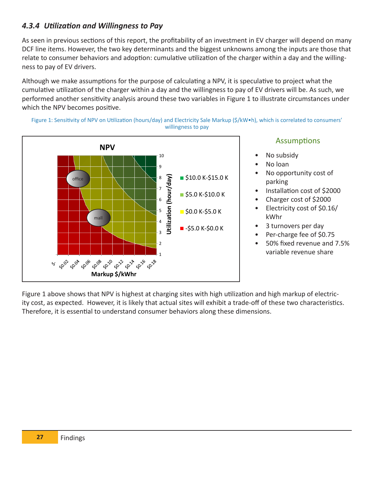### *4.3.4 Utilization and Willingness to Pay*

As seen in previous sections of this report, the profitability of an investment in EV charger will depend on many DCF line items. However, the two key determinants and the biggest unknowns among the inputs are those that relate to consumer behaviors and adoption: cumulative utilization of the charger within a day and the willingness to pay of EV drivers.

Although we make assumptions for the purpose of calculating a NPV, it is speculative to project what the cumulative utilization of the charger within a day and the willingness to pay of EV drivers will be. As such, we performed another sensitivity analysis around these two variables in Figure 1 to illustrate circumstances under which the NPV becomes positive.





### Assumptions

- No subsidy
- No loan
- No opportunity cost of parking
- Installation cost of \$2000
- Charger cost of \$2000
- Electricity cost of \$0.16/ kWhr
- 3 turnovers per day
- Per-charge fee of \$0.75
- 50% fixed revenue and 7.5% variable revenue share <sup>1</sup>

Figure 1 above shows that NPV is highest at charging sites with high utilization and high markup of electricity cost, as expected. However, it is likely that actual sites will exhibit a trade-off of these two characteristics. Therefore, it is essential to understand consumer behaviors along these dimensions.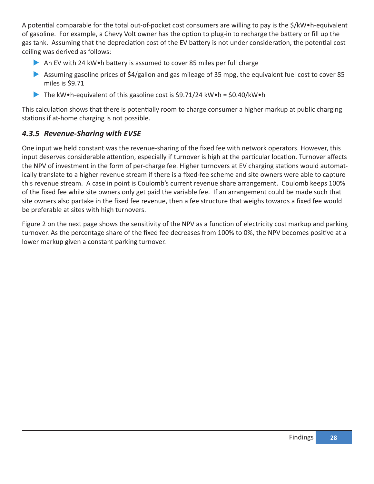A potential comparable for the total out-of-pocket cost consumers are willing to pay is the \$/kW•h-equivalent of gasoline. For example, a Chevy Volt owner has the option to plug-in to recharge the battery or fill up the gas tank. Assuming that the depreciation cost of the EV battery is not under consideration, the potential cost ceiling was derived as follows:

- An EV with 24 kW $\bullet$  battery is assumed to cover 85 miles per full charge
- $\blacktriangleright$  Assuming gasoline prices of \$4/gallon and gas mileage of 35 mpg, the equivalent fuel cost to cover 85 miles is \$9.71
- The kW•h-equivalent of this gasoline cost is  $\text{\$9.71/24}$  kW•h =  $\text{\$0.40/kW}$ •h

This calculation shows that there is potentially room to charge consumer a higher markup at public charging stations if at-home charging is not possible.

### *4.3.5 Revenue-Sharing with EVSE*

One input we held constant was the revenue-sharing of the fixed fee with network operators. However, this input deserves considerable attention, especially if turnover is high at the particular location. Turnover affects the NPV of investment in the form of per-charge fee. Higher turnovers at EV charging stations would automatically translate to a higher revenue stream if there is a fixed-fee scheme and site owners were able to capture this revenue stream. A case in point is Coulomb's current revenue share arrangement. Coulomb keeps 100% of the fixed fee while site owners only get paid the variable fee. If an arrangement could be made such that site owners also partake in the fixed fee revenue, then a fee structure that weighs towards a fixed fee would be preferable at sites with high turnovers.

Figure 2 on the next page shows the sensitivity of the NPV as a function of electricity cost markup and parking turnover. As the percentage share of the fixed fee decreases from 100% to 0%, the NPV becomes positive at a lower markup given a constant parking turnover.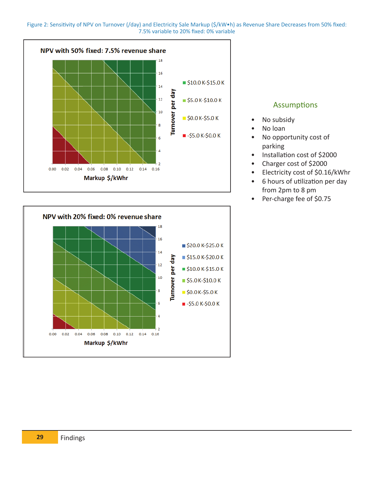





### Assumptions

- No subsidy
- No loan
- No opportunity cost of parking
- Installation cost of \$2000
- Charger cost of \$2000
- Electricity cost of \$0.16/kWhr
- 6 hours of utilization per day from 2pm to 8 pm
- Per-charge fee of \$0.75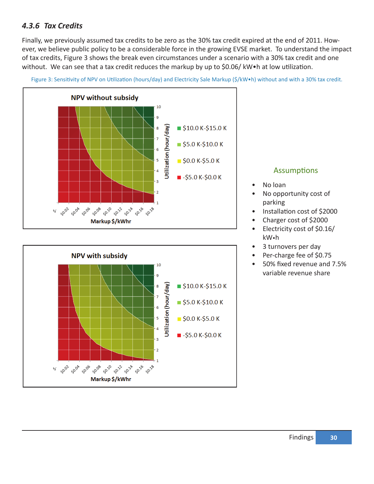### *4.3.6 Tax Credits*

Finally, we previously assumed tax credits to be zero as the 30% tax credit expired at the end of 2011. However, we believe public policy to be a considerable force in the growing EVSE market. To understand the impact of tax credits, Figure 3 shows the break even circumstances under a scenario with a 30% tax credit and one without. We can see that a tax credit reduces the markup by up to \$0.06/ kW•h at low utilization.



Figure 3: Sensitivity of NPV on Utilization (hours/day) and Electricity Sale Markup (\$/kW•h) without and with a 30% tax credit.



### Assumptions

- No loan
- No opportunity cost of parking
- Installation cost of \$2000
- Charger cost of \$2000
- Electricity cost of \$0.16/ kW•h
- 3 turnovers per day
- Per-charge fee of \$0.75
- 50% fixed revenue and 7.5% variable revenue share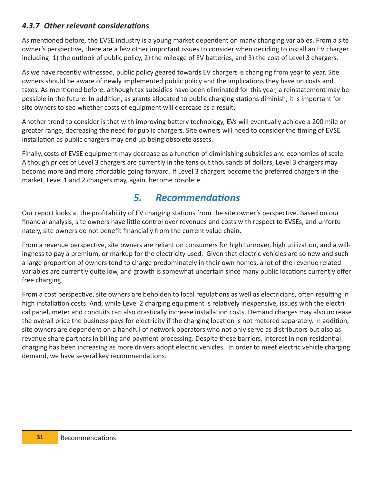### *4.3.7 Other relevant considerations*

As mentioned before, the EVSE industry is a young market dependent on many changing variables. From a site owner's perspective, there are a few other important issues to consider when deciding to install an EV charger including: 1) the outlook of public policy, 2) the mileage of EV batteries, and 3) the cost of Level 3 chargers.

As we have recently witnessed, public policy geared towards EV chargers is changing from year to year. Site owners should be aware of newly implemented public policy and the implications they have on costs and taxes. As mentioned before, although tax subsidies have been eliminated for this year, a reinstatement may be possible in the future. In addition, as grants allocated to public charging stations diminish, it is important for site owners to see whether costs of equipment will decrease as a result.

Another trend to consider is that with improving battery technology, EVs will eventually achieve a 200 mile or greater range, decreasing the need for public chargers. Site owners will need to consider the timing of EVSE installation as public chargers may end up being obsolete assets.

Finally, costs of EVSE equipment may decrease as a function of diminishing subsidies and economies of scale. Although prices of Level 3 chargers are currently in the tens out thousands of dollars, Level 3 chargers may become more and more affordable going forward. If Level 3 chargers become the preferred chargers in the market, Level 1 and 2 chargers may, again, become obsolete.

## *5. Recommendations*

Our report looks at the profitability of EV charging stations from the site owner's perspective. Based on our financial analysis, site owners have little control over revenues and costs with respect to EVSEs, and unfortunately, site owners do not benefit financially from the current value chain.

From a revenue perspective, site owners are reliant on consumers for high turnover, high utilization, and a willingness to pay a premium, or markup for the electricity used. Given that electric vehicles are so new and such a large proportion of owners tend to charge predominately in their own homes, a lot of the revenue related variables are currently quite low, and growth is somewhat uncertain since many public locations currently offer free charging.

From a cost perspective, site owners are beholden to local regulations as well as electricians, often resulting in high installation costs. And, while Level 2 charging equipment is relatively inexpensive, issues with the electrical panel, meter and conduits can also drastically increase installation costs. Demand charges may also increase the overall price the business pays for electricity if the charging location is not metered separately. In addition, site owners are dependent on a handful of network operators who not only serve as distributors but also as revenue share partners in billing and payment processing. Despite these barriers, interest in non-residential charging has been increasing as more drivers adopt electric vehicles. In order to meet electric vehicle charging demand, we have several key recommendations.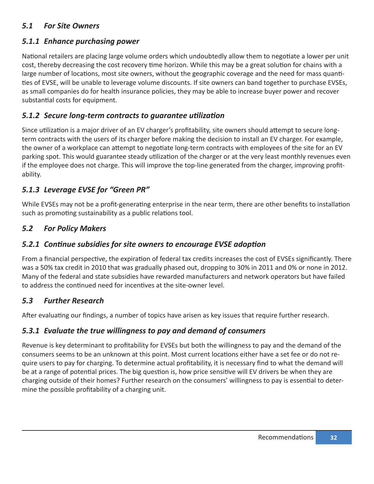### *5.1 For Site Owners*

### *5.1.1 Enhance purchasing power*

National retailers are placing large volume orders which undoubtedly allow them to negotiate a lower per unit cost, thereby decreasing the cost recovery time horizon. While this may be a great solution for chains with a large number of locations, most site owners, without the geographic coverage and the need for mass quantities of EVSE, will be unable to leverage volume discounts. If site owners can band together to purchase EVSEs, as small companies do for health insurance policies, they may be able to increase buyer power and recover substantial costs for equipment.

### *5.1.2 Secure long-term contracts to guarantee utilization*

Since utilization is a major driver of an EV charger's profitability, site owners should attempt to secure longterm contracts with the users of its charger before making the decision to install an EV charger. For example, the owner of a workplace can attempt to negotiate long-term contracts with employees of the site for an EV parking spot. This would guarantee steady utilization of the charger or at the very least monthly revenues even if the employee does not charge. This will improve the top-line generated from the charger, improving profitability.

### *5.1.3 Leverage EVSE for "Green PR"*

While EVSEs may not be a profit-generating enterprise in the near term, there are other benefits to installation such as promoting sustainability as a public relations tool.

### *5.2 For Policy Makers*

### *5.2.1 Continue subsidies for site owners to encourage EVSE adoption*

From a financial perspective, the expiration of federal tax credits increases the cost of EVSEs significantly. There was a 50% tax credit in 2010 that was gradually phased out, dropping to 30% in 2011 and 0% or none in 2012. Many of the federal and state subsidies have rewarded manufacturers and network operators but have failed to address the continued need for incentives at the site-owner level.

### *5.3 Further Research*

After evaluating our findings, a number of topics have arisen as key issues that require further research.

### *5.3.1 Evaluate the true willingness to pay and demand of consumers*

Revenue is key determinant to profitability for EVSEs but both the willingness to pay and the demand of the consumers seems to be an unknown at this point. Most current locations either have a set fee or do not require users to pay for charging. To determine actual profitability, it is necessary find to what the demand will be at a range of potential prices. The big question is, how price sensitive will EV drivers be when they are charging outside of their homes? Further research on the consumers' willingness to pay is essential to determine the possible profitability of a charging unit.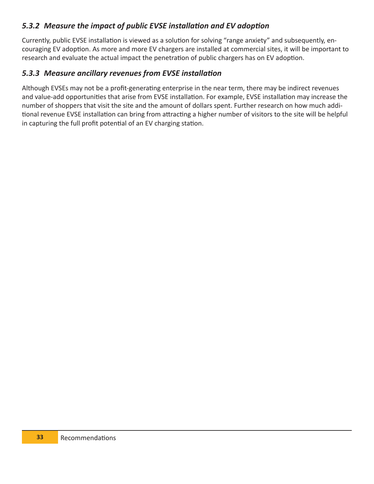### *5.3.2 Measure the impact of public EVSE installation and EV adoption*

Currently, public EVSE installation is viewed as a solution for solving "range anxiety" and subsequently, encouraging EV adoption. As more and more EV chargers are installed at commercial sites, it will be important to research and evaluate the actual impact the penetration of public chargers has on EV adoption.

### *5.3.3 Measure ancillary revenues from EVSE installation*

Although EVSEs may not be a profit-generating enterprise in the near term, there may be indirect revenues and value-add opportunities that arise from EVSE installation. For example, EVSE installation may increase the number of shoppers that visit the site and the amount of dollars spent. Further research on how much additional revenue EVSE installation can bring from attracting a higher number of visitors to the site will be helpful in capturing the full profit potential of an EV charging station.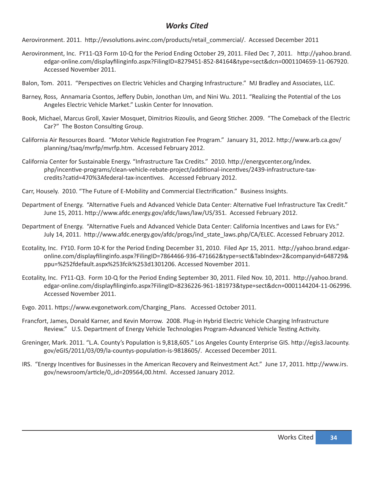### *Works Cited*

Aerovironment. 2011. http://evsolutions.avinc.com/products/retail\_commercial/. Accessed December 2011

- Aerovironment, Inc. FY11-Q3 Form 10-Q for the Period Ending October 29, 2011. Filed Dec 7, 2011. http://yahoo.brand. edgar-online.com/displayfilinginfo.aspx?FilingID=8279451-852-84164&type=sect&dcn=0001104659-11-067920. Accessed November 2011.
- Balon, Tom. 2011. "Perspectives on Electric Vehicles and Charging Infrastructure." MJ Bradley and Associates, LLC.
- Barney, Ross, Annamaria Csontos, Jeffery Dubin, Jonothan Um, and Nini Wu. 2011. "Realizing the Potential of the Los Angeles Electric Vehicle Market." Luskin Center for Innovation.
- Book, Michael, Marcus Groll, Xavier Mosquet, Dimitrios Rizoulis, and Georg Sticher. 2009. "The Comeback of the Electric Car?" The Boston Consulting Group.
- California Air Resources Board. "Motor Vehicle Registration Fee Program." January 31, 2012. http://www.arb.ca.gov/ planning/tsaq/mvrfp/mvrfp.htm. Accessed February 2012.
- California Center for Sustainable Energy. "Infrastructure Tax Credits." 2010. http://energycenter.org/index. php/incentive-programs/clean-vehicle-rebate-project/additional-incentives/2439-infrastructure-taxcredits?catid=470%3Afederal-tax-incentives. Accessed February 2012.
- Carr, Housely. 2010. "The Future of E-Mobility and Commercial Electrification." Business Insights.
- Department of Energy. "Alternative Fuels and Advanced Vehicle Data Center: Alternative Fuel Infrastructure Tax Credit." June 15, 2011. http://www.afdc.energy.gov/afdc/laws/law/US/351. Accessed February 2012.
- Department of Energy. "Alternative Fuels and Advanced Vehicle Data Center: California Incentives and Laws for EVs." July 14, 2011. http://www.afdc.energy.gov/afdc/progs/ind\_state\_laws.php/CA/ELEC. Accessed February 2012.
- Ecotality, Inc. FY10. Form 10-K for the Period Ending December 31, 2010. Filed Apr 15, 2011. http://yahoo.brand.edgaronline.com/displayfilinginfo.aspx?FilingID=7864466-936-471662&type=sect&TabIndex=2&companyid=648729& ppu=%252fdefault.aspx%253fcik%253d1301206. Accessed November 2011.
- Ecotality, Inc. FY11-Q3. Form 10-Q for the Period Ending September 30, 2011. Filed Nov. 10, 2011. http://yahoo.brand. edgar-online.com/displayfilinginfo.aspx?FilingID=8236226-961-181973&type=sect&dcn=0001144204-11-062996. Accessed November 2011.
- Evgo. 2011. https://www.evgonetwork.com/Charging\_Plans. Accessed October 2011.
- Francfort, James, Donald Karner, and Kevin Morrow. 2008. Plug-in Hybrid Electric Vehicle Charging Infrastructure Review." U.S. Department of Energy Vehicle Technologies Program-Advanced Vehicle Testing Activity.
- Greninger, Mark. 2011. "L.A. County's Population is 9,818,605." Los Angeles County Enterprise GIS. http://egis3.lacounty. gov/eGIS/2011/03/09/la-countys-population-is-9818605/. Accessed December 2011.
- IRS. "Energy Incentives for Businesses in the American Recovery and Reinvestment Act." June 17, 2011. http://www.irs. gov/newsroom/article/0,,id=209564,00.html. Accessed January 2012.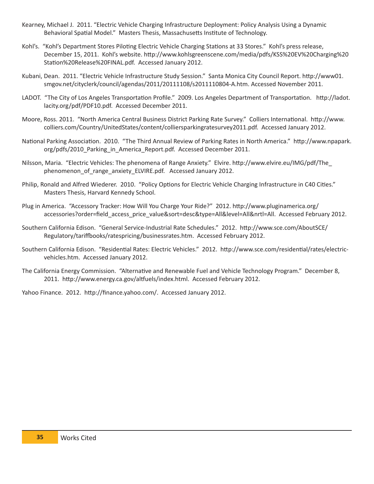- Kearney, Michael J. 2011. "Electric Vehicle Charging Infrastructure Deployment: Policy Analysis Using a Dynamic Behavioral Spatial Model." Masters Thesis, Massachusetts Institute of Technology.
- Kohl's. "Kohl's Department Stores Piloting Electric Vehicle Charging Stations at 33 Stores." Kohl's press release, December 15, 2011. Kohl's website. http://www.kohlsgreenscene.com/media/pdfs/KSS%20EV%20Charging%20 Station%20Release%20FINAL.pdf. Accessed January 2012.
- Kubani, Dean. 2011. "Electric Vehicle Infrastructure Study Session." Santa Monica City Council Report. http://www01. smgov.net/cityclerk/council/agendas/2011/20111108/s2011110804-A.htm. Accessed November 2011.
- LADOT. "The City of Los Angeles Transportation Profile." 2009. Los Angeles Department of Transportation. http://ladot. lacity.org/pdf/PDF10.pdf. Accessed December 2011.
- Moore, Ross. 2011. "North America Central Business District Parking Rate Survey." Colliers International. http://www. colliers.com/Country/UnitedStates/content/colliersparkingratesurvey2011.pdf. Accessed January 2012.
- National Parking Association. 2010. "The Third Annual Review of Parking Rates in North America." http://www.npapark. org/pdfs/2010\_Parking\_in\_America\_Report.pdf. Accessed December 2011.
- Nilsson, Maria. "Electric Vehicles: The phenomena of Range Anxiety." Elvire. http://www.elvire.eu/IMG/pdf/The\_ phenomenon of range anxiety ELVIRE.pdf. Accessed January 2012.
- Philip, Ronald and Alfred Wiederer. 2010. "Policy Options for Electric Vehicle Charging Infrastructure in C40 Cities." Masters Thesis, Harvard Kennedy School.
- Plug in America. "Accessory Tracker: How Will You Charge Your Ride?" 2012. http://www.pluginamerica.org/ accessories?order=field\_access\_price\_value&sort=desc&type=All&level=All&nrtl=All. Accessed February 2012.
- Southern California Edison. "General Service-Industrial Rate Schedules." 2012. http://www.sce.com/AboutSCE/ Regulatory/tariffbooks/ratespricing/businessrates.htm. Accessed February 2012.
- Southern California Edison. "Residential Rates: Electric Vehicles." 2012. http://www.sce.com/residential/rates/electricvehicles.htm. Accessed January 2012.
- The California Energy Commission. "Alternative and Renewable Fuel and Vehicle Technology Program." December 8, 2011. http://www.energy.ca.gov/altfuels/index.html. Accessed February 2012.

Yahoo Finance. 2012. http://finance.yahoo.com/. Accessed January 2012.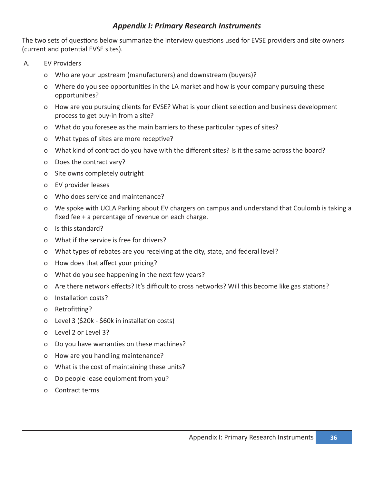### *Appendix I: Primary Research Instruments*

The two sets of questions below summarize the interview questions used for EVSE providers and site owners (current and potential EVSE sites).

- A. EV Providers
	- o Who are your upstream (manufacturers) and downstream (buyers)?
	- o Where do you see opportunities in the LA market and how is your company pursuing these opportunities?
	- o How are you pursuing clients for EVSE? What is your client selection and business development process to get buy-in from a site?
	- o What do you foresee as the main barriers to these particular types of sites?
	- o What types of sites are more receptive?
	- o What kind of contract do you have with the different sites? Is it the same across the board?
	- o Does the contract vary?
	- o Site owns completely outright
	- o EV provider leases
	- o Who does service and maintenance?
	- o We spoke with UCLA Parking about EV chargers on campus and understand that Coulomb is taking a fixed fee + a percentage of revenue on each charge.
	- o Is this standard?
	- o What if the service is free for drivers?
	- o What types of rebates are you receiving at the city, state, and federal level?
	- o How does that affect your pricing?
	- o What do you see happening in the next few years?
	- o Are there network effects? It's difficult to cross networks? Will this become like gas stations?
	- o Installation costs?
	- o Retrofitting?
	- o Level 3 (\$20k \$60k in installation costs)
	- o Level 2 or Level 3?
	- o Do you have warranties on these machines?
	- o How are you handling maintenance?
	- o What is the cost of maintaining these units?
	- o Do people lease equipment from you?
	- o Contract terms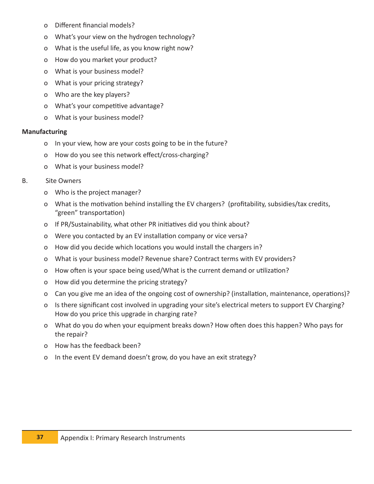- o Different financial models?
- o What's your view on the hydrogen technology?
- o What is the useful life, as you know right now?
- o How do you market your product?
- o What is your business model?
- o What is your pricing strategy?
- o Who are the key players?
- o What's your competitive advantage?
- o What is your business model?

#### **Manufacturing**

- o In your view, how are your costs going to be in the future?
- o How do you see this network effect/cross-charging?
- o What is your business model?

#### B. Site Owners

- o Who is the project manager?
- o What is the motivation behind installing the EV chargers? (profitability, subsidies/tax credits, "green" transportation)
- o If PR/Sustainability, what other PR initiatives did you think about?
- o Were you contacted by an EV installation company or vice versa?
- o How did you decide which locations you would install the chargers in?
- o What is your business model? Revenue share? Contract terms with EV providers?
- o How often is your space being used/What is the current demand or utilization?
- o How did you determine the pricing strategy?
- o Can you give me an idea of the ongoing cost of ownership? (installation, maintenance, operations)?
- o Is there significant cost involved in upgrading your site's electrical meters to support EV Charging? How do you price this upgrade in charging rate?
- o What do you do when your equipment breaks down? How often does this happen? Who pays for the repair?
- o How has the feedback been?
- o In the event EV demand doesn't grow, do you have an exit strategy?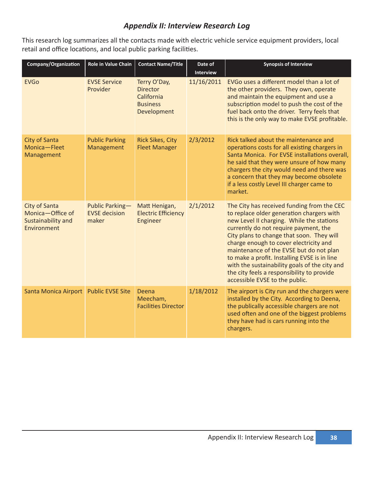### *Appendix II: Interview Research Log*

This research log summarizes all the contacts made with electric vehicle service equipment providers, local retail and office locations, and local public parking facilities.

| Company/Organization                                                   | Role in Value Chain                              | <b>Contact Name/Title</b>                                                       | Date of<br><b>Interview</b> | <b>Synopsis of Interview</b>                                                                                                                                                                                                                                                                                                                                                                                                                                                                     |
|------------------------------------------------------------------------|--------------------------------------------------|---------------------------------------------------------------------------------|-----------------------------|--------------------------------------------------------------------------------------------------------------------------------------------------------------------------------------------------------------------------------------------------------------------------------------------------------------------------------------------------------------------------------------------------------------------------------------------------------------------------------------------------|
| <b>EVGo</b>                                                            | <b>EVSE Service</b><br>Provider                  | Terry O'Day,<br><b>Director</b><br>California<br><b>Business</b><br>Development | 11/16/2011                  | EVGo uses a different model than a lot of<br>the other providers. They own, operate<br>and maintain the equipment and use a<br>subscription model to push the cost of the<br>fuel back onto the driver. Terry feels that<br>this is the only way to make EVSE profitable.                                                                                                                                                                                                                        |
| <b>City of Santa</b><br>Monica-Fleet<br>Management                     | <b>Public Parking</b><br>Management              | <b>Rick Sikes, City</b><br><b>Fleet Manager</b>                                 | 2/3/2012                    | Rick talked about the maintenance and<br>operations costs for all existing chargers in<br>Santa Monica. For EVSE installations overall,<br>he said that they were unsure of how many<br>chargers the city would need and there was<br>a concern that they may become obsolete<br>if a less costly Level III charger came to<br>market.                                                                                                                                                           |
| City of Santa<br>Monica-Office of<br>Sustainability and<br>Environment | Public Parking-<br><b>EVSE</b> decision<br>maker | Matt Henigan,<br><b>Electric Efficiency</b><br>Engineer                         | 2/1/2012                    | The City has received funding from the CEC<br>to replace older generation chargers with<br>new Level II charging. While the stations<br>currently do not require payment, the<br>City plans to change that soon. They will<br>charge enough to cover electricity and<br>maintenance of the EVSE but do not plan<br>to make a profit. Installing EVSE is in line<br>with the sustainability goals of the city and<br>the city feels a responsibility to provide<br>accessible EVSE to the public. |
| <b>Santa Monica Airport</b>                                            | <b>Public EVSE Site</b>                          | Deena<br>Meecham,<br><b>Facilities Director</b>                                 | 1/18/2012                   | The airport is City run and the chargers were<br>installed by the City. According to Deena,<br>the publically accessible chargers are not<br>used often and one of the biggest problems<br>they have had is cars running into the<br>chargers.                                                                                                                                                                                                                                                   |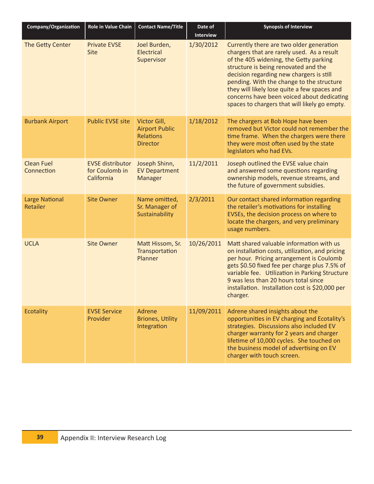| Company/Organization              | Role in Value Chain                                     | <b>Contact Name/Title</b>                                                    | Date of<br>Interview | <b>Synopsis of Interview</b>                                                                                                                                                                                                                                                                                                                                                                                     |
|-----------------------------------|---------------------------------------------------------|------------------------------------------------------------------------------|----------------------|------------------------------------------------------------------------------------------------------------------------------------------------------------------------------------------------------------------------------------------------------------------------------------------------------------------------------------------------------------------------------------------------------------------|
| The Getty Center                  | <b>Private EVSE</b><br>Site                             | Joel Burden,<br>Electrical<br>Supervisor                                     | 1/30/2012            | Currently there are two older generation<br>chargers that are rarely used. As a result<br>of the 405 widening, the Getty parking<br>structure is being renovated and the<br>decision regarding new chargers is still<br>pending. With the change to the structure<br>they will likely lose quite a few spaces and<br>concerns have been voiced about dedicating<br>spaces to chargers that will likely go empty. |
| <b>Burbank Airport</b>            | <b>Public EVSE site</b>                                 | Victor Gill,<br><b>Airport Public</b><br><b>Relations</b><br><b>Director</b> | 1/18/2012            | The chargers at Bob Hope have been<br>removed but Victor could not remember the<br>time frame. When the chargers were there<br>they were most often used by the state<br>legislators who had EVs.                                                                                                                                                                                                                |
| <b>Clean Fuel</b><br>Connection   | <b>EVSE distributor</b><br>for Coulomb in<br>California | Joseph Shinn,<br><b>EV Department</b><br>Manager                             | 11/2/2011            | Joseph outlined the EVSE value chain<br>and answered some questions regarding<br>ownership models, revenue streams, and<br>the future of government subsidies.                                                                                                                                                                                                                                                   |
| <b>Large National</b><br>Retailer | <b>Site Owner</b>                                       | Name omitted,<br>Sr. Manager of<br>Sustainability                            | 2/3/2011             | Our contact shared information regarding<br>the retailer's motivations for installing<br>EVSEs, the decision process on where to<br>locate the chargers, and very preliminary<br>usage numbers.                                                                                                                                                                                                                  |
| <b>UCLA</b>                       | <b>Site Owner</b>                                       | Matt Hissom, Sr.<br>Transportation<br>Planner                                | 10/26/2011           | Matt shared valuable information with us<br>on installation costs, utilization, and pricing<br>per hour. Pricing arrangement is Coulomb<br>gets \$0.50 fixed fee per charge plus 7.5% of<br>variable fee. Utilization in Parking Structure<br>9 was less than 20 hours total since<br>installation. Installation cost is \$20,000 per<br>charger.                                                                |
| <b>Ecotality</b>                  | <b>EVSE Service</b><br>Provider                         | Adrene<br><b>Briones, Utility</b><br>Integration                             | 11/09/2011           | Adrene shared insights about the<br>opportunities in EV charging and Ecotality's<br>strategies. Discussions also included EV<br>charger warranty for 2 years and charger<br>lifetime of 10,000 cycles. She touched on<br>the business model of advertising on EV<br>charger with touch screen.                                                                                                                   |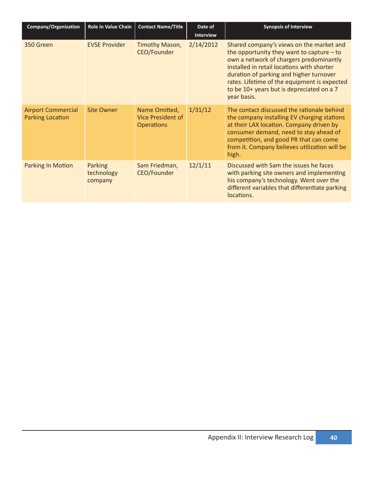| Company/Organization                                 | <b>Role in Value Chain</b>       | <b>Contact Name/Title</b>                                      | Date of<br><b>Interview</b> | <b>Synopsis of Interview</b>                                                                                                                                                                                                                                                                                                            |
|------------------------------------------------------|----------------------------------|----------------------------------------------------------------|-----------------------------|-----------------------------------------------------------------------------------------------------------------------------------------------------------------------------------------------------------------------------------------------------------------------------------------------------------------------------------------|
| 350 Green                                            | <b>EVSE Provider</b>             | Timothy Mason,<br>CEO/Founder                                  | 2/14/2012                   | Shared company's views on the market and<br>the opportunity they want to capture $-$ to<br>own a network of chargers predominantly<br>installed in retail locations with shorter<br>duration of parking and higher turnover<br>rates. Lifetime of the equipment is expected<br>to be 10+ years but is depreciated on a 7<br>year basis. |
| <b>Airport Commercial</b><br><b>Parking Location</b> | <b>Site Owner</b>                | Name Omitted,<br><b>Vice President of</b><br><b>Operations</b> | 1/31/12                     | The contact discussed the rationale behind<br>the company installing EV charging stations<br>at their LAX location. Company driven by<br>consumer demand, need to stay ahead of<br>competition, and good PR that can come<br>from it. Company believes utilization will be<br>high.                                                     |
| <b>Parking In Motion</b>                             | Parking<br>technology<br>company | Sam Friedman,<br>CEO/Founder                                   | 12/1/11                     | Discussed with Sam the issues he faces<br>with parking site owners and implementing<br>his company's technology. Went over the<br>different variables that differentiate parking<br>locations.                                                                                                                                          |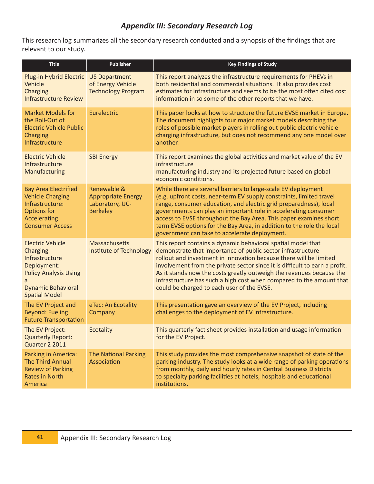### *Appendix III: Secondary Research Log*

This research log summarizes all the secondary research conducted and a synopsis of the findings that are relevant to our study.

| <b>Title</b>                                                                                                                                              | Publisher                                                                      | <b>Key Findings of Study</b>                                                                                                                                                                                                                                                                                                                                                                                                                                                   |
|-----------------------------------------------------------------------------------------------------------------------------------------------------------|--------------------------------------------------------------------------------|--------------------------------------------------------------------------------------------------------------------------------------------------------------------------------------------------------------------------------------------------------------------------------------------------------------------------------------------------------------------------------------------------------------------------------------------------------------------------------|
| Plug-in Hybrid Electric US Department<br>Vehicle<br>Charging<br><b>Infrastructure Review</b>                                                              | of Energy Vehicle<br><b>Technology Program</b>                                 | This report analyzes the infrastructure requirements for PHEVs in<br>both residential and commercial situations. It also provides cost<br>estimates for infrastructure and seems to be the most often cited cost<br>information in so some of the other reports that we have.                                                                                                                                                                                                  |
| <b>Market Models for</b><br>the Roll-Out of<br><b>Electric Vehicle Public</b><br><b>Charging</b><br>Infrastructure                                        | Eurelectric                                                                    | This paper looks at how to structure the future EVSE market in Europe.<br>The document highlights four major market models describing the<br>roles of possible market players in rolling out public electric vehicle<br>charging infrastructure, but does not recommend any one model over<br>another.                                                                                                                                                                         |
| <b>Electric Vehicle</b><br>Infrastructure<br>Manufacturing                                                                                                | <b>SBI Energy</b>                                                              | This report examines the global activities and market value of the EV<br>infrastructure<br>manufacturing industry and its projected future based on global<br>economic conditions.                                                                                                                                                                                                                                                                                             |
| <b>Bay Area Electrified</b><br><b>Vehicle Charging</b><br>Infrastructure:<br>Options for<br>Accelerating<br><b>Consumer Access</b>                        | Renewable &<br><b>Appropriate Energy</b><br>Laboratory, UC-<br><b>Berkeley</b> | While there are several barriers to large-scale EV deployment<br>(e.g. upfront costs, near-term EV supply constraints, limited travel<br>range, consumer education, and electric grid preparedness), local<br>governments can play an important role in accelerating consumer<br>access to EVSE throughout the Bay Area. This paper examines short<br>term EVSE options for the Bay Area, in addition to the role the local<br>government can take to accelerate deployment.   |
| <b>Electric Vehicle</b><br>Charging<br>Infrastructure<br>Deployment:<br><b>Policy Analysis Using</b><br><b>Dynamic Behavioral</b><br><b>Spatial Model</b> | <b>Massachusetts</b><br><b>Institute of Technology</b>                         | This report contains a dynamic behavioral spatial model that<br>demonstrate that importance of public sector infrastructure<br>rollout and investment in innovation because there will be limited<br>involvement from the private sector since it is difficult to earn a profit.<br>As it stands now the costs greatly outweigh the revenues because the<br>infrastructure has such a high cost when compared to the amount that<br>could be charged to each user of the EVSE. |
| The EV Project and<br><b>Beyond: Fueling</b><br><b>Future Transportation</b>                                                                              | eTec: An Ecotality<br>Company                                                  | This presentation gave an overview of the EV Project, including<br>challenges to the deployment of EV infrastructure.                                                                                                                                                                                                                                                                                                                                                          |
| The EV Project:<br><b>Quarterly Report:</b><br>Quarter 2 2011                                                                                             | Ecotality                                                                      | This quarterly fact sheet provides installation and usage information<br>for the EV Project.                                                                                                                                                                                                                                                                                                                                                                                   |
| Parking in America:<br><b>The Third Annual</b><br><b>Review of Parking</b><br><b>Rates in North</b><br>America                                            | <b>The National Parking</b><br>Association                                     | This study provides the most comprehensive snapshot of state of the<br>parking industry. The study looks at a wide range of parking operations<br>from monthly, daily and hourly rates in Central Business Districts<br>to specialty parking facilities at hotels, hospitals and educational<br>institutions.                                                                                                                                                                  |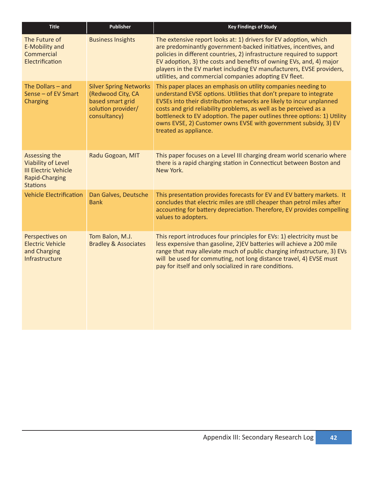| <b>Title</b>                                                                                                   | <b>Publisher</b>                                                                                             | <b>Key Findings of Study</b>                                                                                                                                                                                                                                                                                                                                                                                                                            |
|----------------------------------------------------------------------------------------------------------------|--------------------------------------------------------------------------------------------------------------|---------------------------------------------------------------------------------------------------------------------------------------------------------------------------------------------------------------------------------------------------------------------------------------------------------------------------------------------------------------------------------------------------------------------------------------------------------|
| The Future of<br>E-Mobility and<br>Commercial<br>Electrification                                               | <b>Business Insights</b>                                                                                     | The extensive report looks at: 1) drivers for EV adoption, which<br>are predominantly government-backed initiatives, incentives, and<br>policies in different countries, 2) infrastructure required to support<br>EV adoption, 3) the costs and benefits of owning EVs, and, 4) major<br>players in the EV market including EV manufacturers, EVSE providers,<br>utilities, and commercial companies adopting EV fleet.                                 |
| The Dollars $-$ and<br>Sense - of EV Smart<br>Charging                                                         | <b>Silver Spring Networks</b><br>(Redwood City, CA<br>based smart grid<br>solution provider/<br>consultancy) | This paper places an emphasis on utility companies needing to<br>understand EVSE options. Utilities that don't prepare to integrate<br>EVSEs into their distribution networks are likely to incur unplanned<br>costs and grid reliability problems, as well as be perceived as a<br>bottleneck to EV adoption. The paper outlines three options: 1) Utility<br>owns EVSE, 2) Customer owns EVSE with government subsidy, 3) EV<br>treated as appliance. |
| Assessing the<br>Viability of Level<br><b>III Electric Vehicle</b><br><b>Rapid-Charging</b><br><b>Stations</b> | Radu Gogoan, MIT                                                                                             | This paper focuses on a Level III charging dream world scenario where<br>there is a rapid charging station in Connecticut between Boston and<br>New York.                                                                                                                                                                                                                                                                                               |
| <b>Vehicle Electrification</b>                                                                                 | Dan Galves, Deutsche<br><b>Bank</b>                                                                          | This presentation provides forecasts for EV and EV battery markets. It<br>concludes that electric miles are still cheaper than petrol miles after<br>accounting for battery depreciation. Therefore, EV provides compelling<br>values to adopters.                                                                                                                                                                                                      |
| Perspectives on<br><b>Electric Vehicle</b><br>and Charging<br>Infrastructure                                   | Tom Balon, M.J.<br><b>Bradley &amp; Associates</b>                                                           | This report introduces four principles for EVs: 1) electricity must be<br>less expensive than gasoline, 2)EV batteries will achieve a 200 mile<br>range that may alleviate much of public charging infrastructure, 3) EVs<br>will be used for commuting, not long distance travel, 4) EVSE must<br>pay for itself and only socialized in rare conditions.                                                                                               |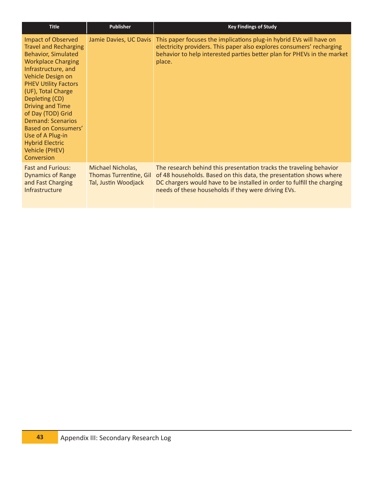| <b>Title</b>                                                                                                                                                                                                                                                                                                                                                                                                                    | <b>Publisher</b>                                                           | <b>Key Findings of Study</b>                                                                                                                                                                                                                                                |
|---------------------------------------------------------------------------------------------------------------------------------------------------------------------------------------------------------------------------------------------------------------------------------------------------------------------------------------------------------------------------------------------------------------------------------|----------------------------------------------------------------------------|-----------------------------------------------------------------------------------------------------------------------------------------------------------------------------------------------------------------------------------------------------------------------------|
| <b>Impact of Observed</b><br><b>Travel and Recharging</b><br><b>Behavior, Simulated</b><br><b>Workplace Charging</b><br>Infrastructure, and<br>Vehicle Design on<br><b>PHEV Utility Factors</b><br>(UF), Total Charge<br>Depleting (CD)<br><b>Driving and Time</b><br>of Day (TOD) Grid<br><b>Demand: Scenarios</b><br><b>Based on Consumers'</b><br>Use of A Plug-in<br><b>Hybrid Electric</b><br>Vehicle (PHEV)<br>Conversion | Jamie Davies, UC Davis                                                     | This paper focuses the implications plug-in hybrid EVs will have on<br>electricity providers. This paper also explores consumers' recharging<br>behavior to help interested parties better plan for PHEVs in the market<br>place.                                           |
| <b>Fast and Furious:</b><br><b>Dynamics of Range</b><br>and Fast Charging<br>Infrastructure                                                                                                                                                                                                                                                                                                                                     | Michael Nicholas,<br><b>Thomas Turrentine, Gil</b><br>Tal, Justin Woodjack | The research behind this presentation tracks the traveling behavior<br>of 48 households. Based on this data, the presentation shows where<br>DC chargers would have to be installed in order to fulfill the charging<br>needs of these households if they were driving EVs. |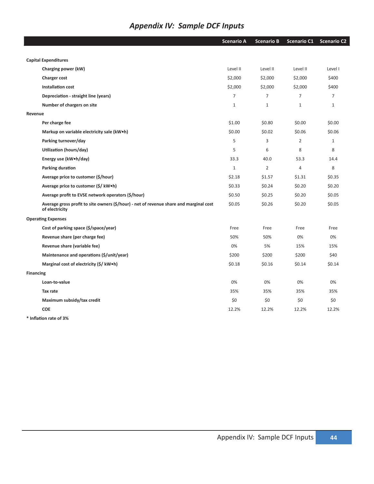## *Appendix IV: Sample DCF Inputs*

|                  |                                                                                                          | <b>Scenario A</b> | <b>Scenario B</b> | <b>Scenario C1</b> | <b>Scenario C2</b> |
|------------------|----------------------------------------------------------------------------------------------------------|-------------------|-------------------|--------------------|--------------------|
|                  |                                                                                                          |                   |                   |                    |                    |
|                  | <b>Capital Expenditures</b>                                                                              |                   |                   |                    |                    |
|                  | Charging power (kW)                                                                                      | Level II          | Level II          | Level II           | Level I            |
|                  | Charger cost                                                                                             | \$2,000           | \$2,000           | \$2,000            | \$400              |
|                  | <b>Installation cost</b>                                                                                 | \$2,000           | \$2,000           | \$2,000            | \$400              |
|                  | Depreciation - straight line (years)                                                                     | $\overline{7}$    | $\overline{7}$    | $\overline{7}$     | $\overline{7}$     |
|                  | Number of chargers on site                                                                               | $1\,$             | $\mathbf{1}$      | $\mathbf{1}$       | $\mathbf{1}$       |
| Revenue          |                                                                                                          |                   |                   |                    |                    |
|                  | Per charge fee                                                                                           | \$1.00            | \$0.80            | \$0.00             | \$0.00             |
|                  | Markup on variable electricity sale (kW.h)                                                               | \$0.00            | \$0.02\$          | \$0.06             | \$0.06             |
|                  | Parking turnover/day                                                                                     | 5                 | 3                 | $\overline{2}$     | $\mathbf{1}$       |
|                  | Utilization (hours/day)                                                                                  | 5                 | 6                 | 8                  | 8                  |
|                  | Energy use (kW.h/day)                                                                                    | 33.3              | 40.0              | 53.3               | 14.4               |
|                  | Parking duration                                                                                         | $\mathbf{1}$      | $\overline{2}$    | $\overline{4}$     | 8                  |
|                  | Average price to customer (\$/hour)                                                                      | \$2.18            | \$1.57            | \$1.31             | \$0.35             |
|                  | Average price to customer (\$/ kW•h)                                                                     | \$0.33            | \$0.24            | \$0.20             | \$0.20             |
|                  | Average profit to EVSE network operators (\$/hour)                                                       | \$0.50            | \$0.25            | \$0.20             | \$0.05             |
|                  | Average gross profit to site owners (\$/hour) - net of revenue share and marginal cost<br>of electricity | \$0.05            | \$0.26            | \$0.20             | \$0.05             |
|                  | <b>Operating Expenses</b>                                                                                |                   |                   |                    |                    |
|                  | Cost of parking space (\$/space/year)                                                                    | Free              | Free              | Free               | Free               |
|                  | Revenue share (per charge fee)                                                                           | 50%               | 50%               | 0%                 | 0%                 |
|                  | Revenue share (variable fee)                                                                             | 0%                | 5%                | 15%                | 15%                |
|                  | Maintenance and operations (\$/unit/year)                                                                | \$200             | \$200             | \$200              | \$40               |
|                  | Marginal cost of electricity (\$/ kW.h)                                                                  | \$0.18            | \$0.16            | \$0.14             | \$0.14             |
| <b>Financing</b> |                                                                                                          |                   |                   |                    |                    |
|                  | Loan-to-value                                                                                            | 0%                | 0%                | 0%                 | 0%                 |
|                  | Tax rate                                                                                                 | 35%               | 35%               | 35%                | 35%                |
|                  | Maximum subsidy/tax credit                                                                               | \$0               | \$0               | \$0                | \$0                |
|                  | <b>COE</b>                                                                                               | 12.2%             | 12.2%             | 12.2%              | 12.2%              |
|                  |                                                                                                          |                   |                   |                    |                    |

**\* Inflation rate of 3%**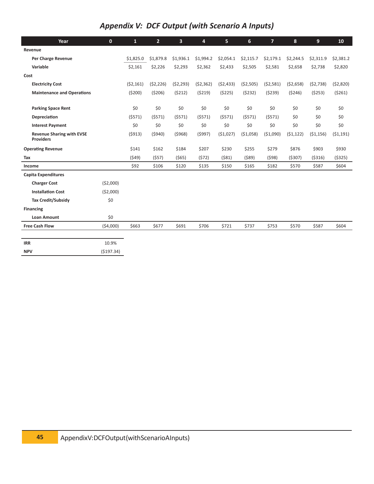## *Appendix V: DCF Output (with Scenario A Inputs)*

| Year                                                 | $\mathbf{0}$ | $\mathbf{1}$ | $\overline{2}$ | $\overline{\mathbf{3}}$ | 4         | 5         | $6 \overline{6}$ | $\overline{7}$ | 8         | 9         | 10        |
|------------------------------------------------------|--------------|--------------|----------------|-------------------------|-----------|-----------|------------------|----------------|-----------|-----------|-----------|
| Revenue                                              |              |              |                |                         |           |           |                  |                |           |           |           |
| Per Charge Revenue                                   |              | \$1,825.0    | \$1,879.8      | \$1,936.1               | \$1,994.2 | \$2,054.1 | \$2,115.7        | \$2,179.1      | \$2,244.5 | \$2,311.9 | \$2,381.2 |
| Variable                                             |              | \$2,161      | \$2,226        | \$2,293                 | \$2,362   | \$2,433   | \$2,505          | \$2,581        | \$2,658   | \$2,738   | \$2,820   |
| Cost                                                 |              |              |                |                         |           |           |                  |                |           |           |           |
| <b>Electricity Cost</b>                              |              | (52, 161)    | (52, 226)      | (52, 293)               | (52, 362) | (52, 433) | (52, 505)        | (52, 581)      | (52, 658) | (52, 738) | (52,820)  |
| <b>Maintenance and Operations</b>                    |              | (5200)       | (5206)         | (5212)                  | (5219)    | (5225)    | (5232)           | (5239)         | (5246)    | (5253)    | (5261)    |
|                                                      |              |              |                |                         |           |           |                  |                |           |           |           |
| <b>Parking Space Rent</b>                            |              | \$0          | \$0            | \$0                     | \$0       | \$0       | \$0              | \$0            | \$0       | \$0       | \$0       |
| Depreciation                                         |              | (5571)       | (5571)         | (5571)                  | (5571)    | (5571)    | (5571)           | (5571)         | \$0       | \$0       | \$0       |
| <b>Interest Payment</b>                              |              | \$0          | \$0            | \$0                     | \$0       | \$0       | \$0              | \$0            | \$0       | \$0       | \$0       |
| <b>Revenue Sharing with EVSE</b><br><b>Providers</b> |              | (5913)       | (5940)         | (5968)                  | (5997)    | (51,027)  | ( \$1,058)       | (51,090)       | (51, 122) | (51, 156) | (51, 191) |
| <b>Operating Revenue</b>                             |              | \$141        | \$162          | \$184                   | \$207     | \$230     | \$255            | \$279          | \$876     | \$903     | \$930     |
| Tax                                                  |              | (549)        | (557)          | (565)                   | (572)     | (581)     | (589)            | (598)          | (5307)    | ( \$316)  | (5325)    |
| Income                                               |              | \$92         | \$106          | \$120                   | \$135     | \$150     | \$165            | \$182          | \$570     | \$587     | \$604     |
| <b>Capita Expenditures</b>                           |              |              |                |                         |           |           |                  |                |           |           |           |
| <b>Charger Cost</b>                                  | ( \$2,000)   |              |                |                         |           |           |                  |                |           |           |           |
| <b>Installation Cost</b>                             | (52,000)     |              |                |                         |           |           |                  |                |           |           |           |
| <b>Tax Credit/Subsidy</b>                            | \$0          |              |                |                         |           |           |                  |                |           |           |           |
| <b>Financing</b>                                     |              |              |                |                         |           |           |                  |                |           |           |           |
| <b>Loan Amount</b>                                   | \$0          |              |                |                         |           |           |                  |                |           |           |           |
| <b>Free Cash Flow</b>                                | (54,000)     | \$663        | \$677          | \$691                   | \$706     | \$721     | \$737            | \$753          | \$570     | \$587     | \$604     |
|                                                      |              |              |                |                         |           |           |                  |                |           |           |           |
| <b>IRR</b>                                           | 10.9%        |              |                |                         |           |           |                  |                |           |           |           |
| <b>NPV</b>                                           | (\$197.34)   |              |                |                         |           |           |                  |                |           |           |           |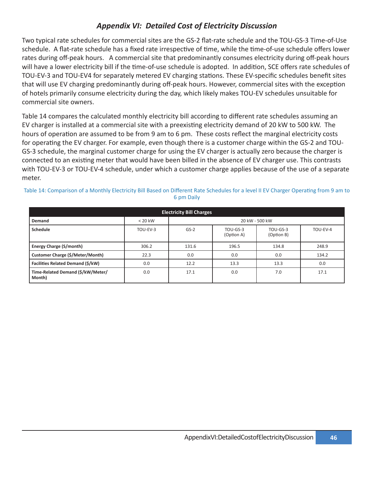### *Appendix VI: Detailed Cost of Electricity Discussion*

Two typical rate schedules for commercial sites are the GS-2 flat-rate schedule and the TOU-GS-3 Time-of-Use schedule. A flat-rate schedule has a fixed rate irrespective of time, while the time-of-use schedule offers lower rates during off-peak hours. A commercial site that predominantly consumes electricity during off-peak hours will have a lower electricity bill if the time-of-use schedule is adopted. In addition, SCE offers rate schedules of TOU-EV-3 and TOU-EV4 for separately metered EV charging stations. These EV-specific schedules benefit sites that will use EV charging predominantly during off-peak hours. However, commercial sites with the exception of hotels primarily consume electricity during the day, which likely makes TOU-EV schedules unsuitable for commercial site owners.

Table 14 compares the calculated monthly electricity bill according to different rate schedules assuming an EV charger is installed at a commercial site with a preexisting electricity demand of 20 kW to 500 kW. The hours of operation are assumed to be from 9 am to 6 pm. These costs reflect the marginal electricity costs for operating the EV charger. For example, even though there is a customer charge within the GS-2 and TOU-GS-3 schedule, the marginal customer charge for using the EV charger is actually zero because the charger is connected to an existing meter that would have been billed in the absence of EV charger use. This contrasts with TOU-EV-3 or TOU-EV-4 schedule, under which a customer charge applies because of the use of a separate meter.

| <b>Electricity Bill Charges</b>             |           |                |                          |                        |          |
|---------------------------------------------|-----------|----------------|--------------------------|------------------------|----------|
| Demand                                      | $< 20$ kW | 20 kW - 500 kW |                          |                        |          |
| Schedule                                    | TOU-EV-3  | $GS-2$         | $TOU-GS-3$<br>(Option A) | TOU-GS-3<br>(Option B) | TOU-EV-4 |
| <b>Energy Charge (S/month)</b>              | 306.2     | 131.6          | 196.5                    | 134.8                  | 248.9    |
| Customer Charge (\$/Meter/Month)            | 22.3      | 0.0            | 0.0                      | 0.0                    | 134.2    |
| <b>Facilities Related Demand (\$/kW)</b>    | 0.0       | 12.2           | 13.3                     | 13.3                   | 0.0      |
| Time-Related Demand (\$/kW/Meter/<br>Month) | 0.0       | 17.1           | 0.0                      | 7.0                    | 17.1     |

Table 14: Comparison of a Monthly Electricity Bill Based on Different Rate Schedules for a level II EV Charger Operating from 9 am to 6 pm Daily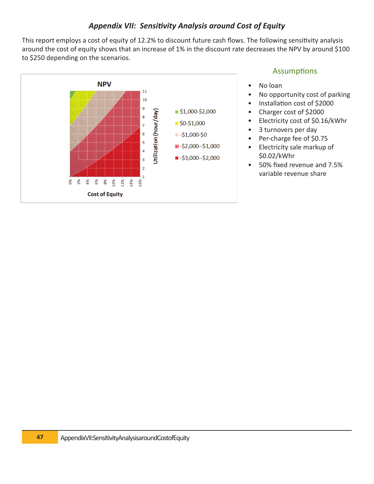### Appendix VII: Sensitivity Analysis around Cost of Equity

This report employs a cost of equity of 12.2% to discount future cash flows. The following sensitivity analysis around the cost of equity shows that an increase of 1% in the discount rate decreases the NPV by around \$100 to \$250 depending on the scenarios.



### Assumptions

- No loan
- No opportunity cost of parking
- Installation cost of \$2000
- Charger cost of \$2000
- Electricity cost of \$0.16/kWhr
- 3 turnovers per day
- Per-charge fee of \$0.75
- Electricity sale markup of \$0.02/kWhr
- 50% fixed revenue and 7.5% variable revenue share